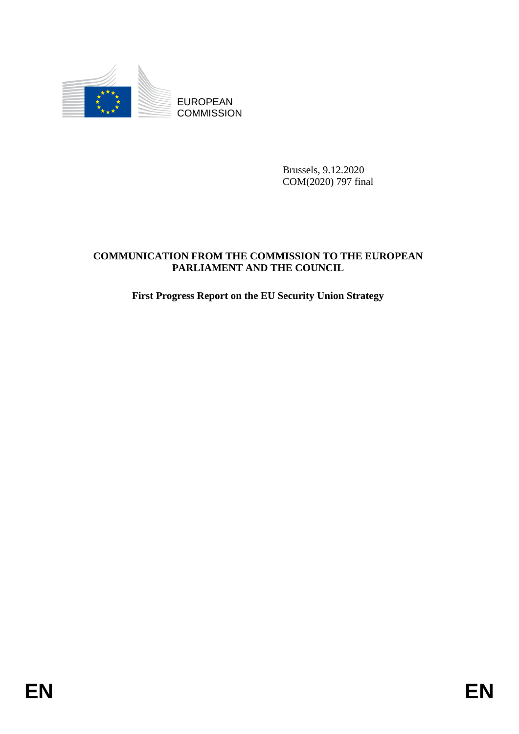

**COMMISSION** 

Brussels, 9.12.2020 COM(2020) 797 final

# EUROPEAN<br>
EUROPEAN<br>
ENERGY COMMISSION<br>
ENERGY AND THE COMMISSION TO THE EUROPEAN<br>
FABLIA WENT AND THE COUNCH.<br>
FIESI Progress Report on the EU Security Union Strategy<br> **ENERGY AND THE COUNCHER STATE COMMUNICATION FROM THE COMMISSION TO THE EUROPEAN PARLIAMENT AND THE COUNCIL**

# **First Progress Report on the EU Security Union Strategy**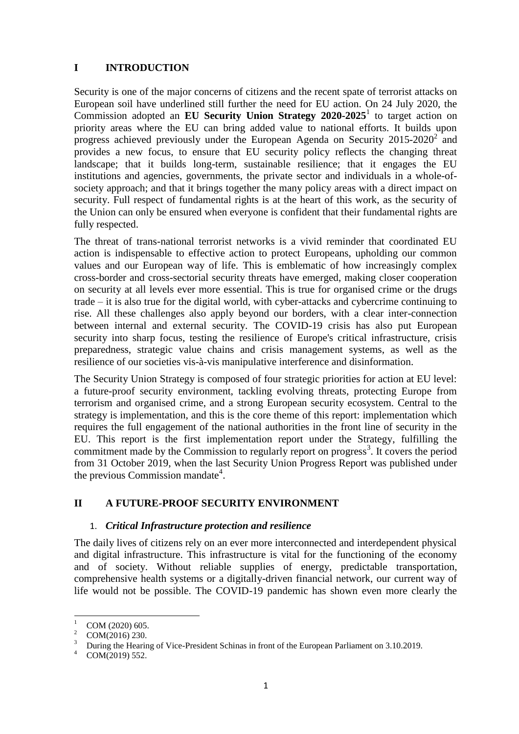# **I INTRODUCTION**

Security is one of the major concerns of citizens and the recent spate of terrorist attacks on European soil have underlined still further the need for EU action. On 24 July 2020, the Commission adopted an **[EU Security Union Strategy](https://ec.europa.eu/info/files/communication-commission-eu-security-union-strategy_en) 2020-2025**<sup>1</sup> to target action on priority areas where the EU can bring added value to national efforts. It builds upon progress achieved previously under the European [Agenda on Security](https://eur-lex.europa.eu/legal-content/GA/TXT/?uri=CELEX:52015DC0185)  $2015-2020^2$  and provides a new focus, to ensure that EU security policy reflects the changing threat landscape; that it builds long-term, sustainable resilience; that it engages the EU institutions and agencies, governments, the private sector and individuals in a whole-ofsociety approach; and that it brings together the many policy areas with a direct impact on security. Full respect of fundamental rights is at the heart of this work, as the security of the Union can only be ensured when everyone is confident that their fundamental rights are fully respected.

The threat of trans-national terrorist networks is a vivid reminder that coordinated EU action is indispensable to effective action to protect Europeans, upholding our common values and our European way of life. This is emblematic of how increasingly complex cross-border and cross-sectorial security threats have emerged, making closer cooperation on security at all levels ever more essential. This is true for organised crime or the drugs trade – it is also true for the digital world, with cyber-attacks and cybercrime continuing to rise. All these challenges also apply beyond our borders, with a clear inter-connection between internal and external security. The COVID-19 crisis has also put European security into sharp focus, testing the resilience of Europe's critical infrastructure, crisis preparedness, strategic value chains and crisis management systems, as well as the resilience of our societies vis-à-vis manipulative interference and disinformation.

The Security Union Strategy is composed of four strategic priorities for action at EU level: a future-proof security environment, tackling evolving threats, protecting Europe from terrorism and organised crime, and a strong European security ecosystem. Central to the strategy is implementation, and this is the core theme of this report: implementation which requires the full engagement of the national authorities in the front line of security in the EU. This report is the first implementation report under the Strategy, fulfilling the commitment made by the Commission to regularly report on progress<sup>3</sup>. It covers the period from 31 October 2019, when the last Security Union Progress Report was published under the previous Commission mandate<sup>4</sup>.

# **II A FUTURE-PROOF SECURITY ENVIRONMENT**

# 1. *Critical Infrastructure protection and resilience*

The daily lives of citizens rely on an ever more interconnected and interdependent physical and digital infrastructure. This infrastructure is vital for the functioning of the economy and of society. Without reliable supplies of energy, predictable transportation, comprehensive health systems or a digitally-driven financial network, our current way of life would not be possible. The COVID-19 pandemic has shown even more clearly the

 $\overline{1}$  $^{1}$  COM (2020) 605.

 $\frac{2}{3}$  COM(2016) 230.

<sup>&</sup>lt;sup>3</sup> During the Hearing of Vice-President Schinas in front of the European Parliament on 3.10.2019.

COM(2019) 552.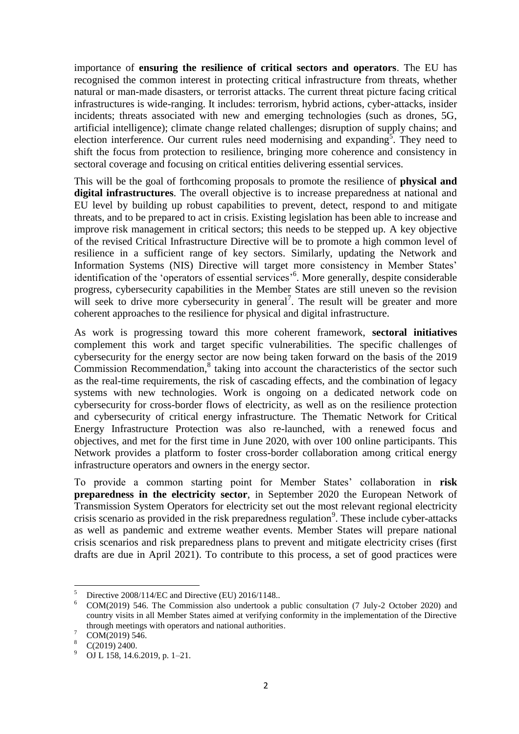importance of **ensuring the resilience of critical sectors and operators**. The EU has recognised the common interest in protecting critical infrastructure from threats, whether natural or man-made disasters, or terrorist attacks. The current threat picture facing critical infrastructures is wide-ranging. It includes: terrorism, hybrid actions, cyber-attacks, insider incidents; threats associated with new and emerging technologies (such as drones, 5G, artificial intelligence); climate change related challenges; disruption of supply chains; and election interference. Our current rules need modernising and expanding<sup>5</sup>. They need to shift the focus from protection to resilience, bringing more coherence and consistency in sectoral coverage and focusing on critical entities delivering essential services.

This will be the goal of forthcoming proposals to promote the resilience of **physical and digital infrastructures**. The overall objective is to increase preparedness at national and EU level by building up robust capabilities to prevent, detect, respond to and mitigate threats, and to be prepared to act in crisis. Existing legislation has been able to increase and improve risk management in critical sectors; this needs to be stepped up. A key objective of the revised Critical Infrastructure Directive will be to promote a high common level of resilience in a sufficient range of key sectors. Similarly, updating the Network and Information Systems (NIS) Directive will target more consistency in Member States' identification of the 'operators of essential services' 6 . More generally, despite considerable progress, cybersecurity capabilities in the Member States are still uneven so the revision will seek to drive more cybersecurity in general<sup>7</sup>. The result will be greater and more coherent approaches to the resilience for physical and digital infrastructure.

As work is progressing toward this more coherent framework, **sectoral initiatives** complement this work and target specific vulnerabilities. The specific challenges of cybersecurity for the energy sector are now being taken forward on the basis of the 2019  $Commission$  Recommendation, $8$  taking into account the characteristics of the sector such as the real-time requirements, the risk of cascading effects, and the combination of legacy systems with new technologies. Work is ongoing on a dedicated network code on cybersecurity for cross-border flows of electricity, as well as on the resilience protection and cybersecurity of critical energy infrastructure. The Thematic Network for Critical Energy Infrastructure Protection was also re-launched, with a renewed focus and objectives, and met for the first time in June 2020, with over 100 online participants. This Network provides a platform to foster cross-border collaboration among critical energy infrastructure operators and owners in the energy sector.

To provide a common starting point for Member States' collaboration in **risk preparedness in the electricity sector**, in September 2020 the European Network of Transmission System Operators for electricity set out the most relevant regional electricity crisis scenario as provided in the risk preparedness regulation<sup>9</sup>. These include cyber-attacks as well as pandemic and extreme weather events. Member States will prepare national crisis scenarios and risk preparedness plans to prevent and mitigate electricity crises (first drafts are due in April 2021). To contribute to this process, a set of good practices were

 $\overline{\phantom{0}}$  $\frac{5}{100}$  Directive 2008/114/EC and Directive (EU) 2016/1148...

<sup>6</sup> COM(2019) 546. The Commission also undertook a public consultation (7 July-2 October 2020) and country visits in all Member States aimed at verifying conformity in the implementation of the Directive through meetings with operators and national authorities.

 $\frac{7}{8}$  COM(2019) 546.

 $\frac{8}{9}$  C(2019) 2400.

OJ L 158, 14.6.2019, p. 1–21.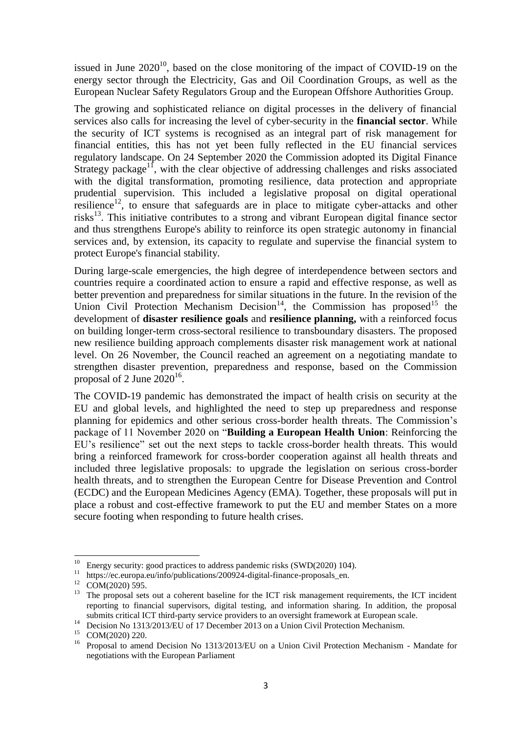issued in June  $2020^{10}$ , based on the close monitoring of the impact of COVID-19 on the energy sector through the Electricity, Gas and Oil Coordination Groups, as well as the European Nuclear Safety Regulators Group and the European Offshore Authorities Group.

The growing and sophisticated reliance on digital processes in the delivery of financial services also calls for increasing the level of cyber-security in the **financial sector**. While the security of ICT systems is recognised as an integral part of risk management for financial entities, this has not yet been fully reflected in the EU financial services regulatory landscape. On 24 September 2020 the Commission adopted its Digital Finance Strategy package<sup>11</sup>, with the clear objective of addressing challenges and risks associated with the digital transformation, promoting resilience, data protection and appropriate prudential supervision. This included a legislative proposal on digital operational resilience<sup>12</sup>, to ensure that safeguards are in place to mitigate cyber-attacks and other risks<sup>13</sup>. This initiative contributes to a strong and vibrant European digital finance sector and thus strengthens Europe's ability to reinforce its open strategic autonomy in financial services and, by extension, its capacity to regulate and supervise the financial system to protect Europe's financial stability.

During large-scale emergencies, the high degree of interdependence between sectors and countries require a coordinated action to ensure a rapid and effective response, as well as better prevention and preparedness for similar situations in the future. In the revision of the Union Civil Protection Mechanism Decision<sup>14</sup>, the Commission has proposed<sup>15</sup> the development of **disaster resilience goals** and **resilience planning,** with a reinforced focus on building longer-term cross-sectoral resilience to transboundary disasters. The proposed new resilience building approach complements disaster risk management work at national level. On 26 November, the Council reached an agreement on a negotiating mandate to strengthen disaster prevention, preparedness and response, based on the Commission proposal of 2 June 2020<sup>16</sup>.

The COVID-19 pandemic has demonstrated the impact of health crisis on security at the EU and global levels, and highlighted the need to step up preparedness and response planning for epidemics and other serious cross-border health threats. The Commission's package of 11 November 2020 on "**Building a European Health Union**: Reinforcing the EU's resilience" set out the next steps to tackle cross-border health threats. This would bring a reinforced framework for cross-border cooperation against all health threats and included three legislative proposals: to upgrade the legislation on serious cross-border health threats, and to strengthen the European Centre for Disease Prevention and Control (ECDC) and the European Medicines Agency (EMA). Together, these proposals will put in place a robust and cost-effective framework to put the EU and member States on a more secure footing when responding to future health crises.

<sup>&</sup>lt;sup>10</sup> Energy security: good practices to address pandemic risks (SWD(2020) 104).

<sup>&</sup>lt;sup>11</sup> https://ec.europa.eu/info/publications/200924-digital-finance-proposals\_en.

<sup>&</sup>lt;sup>12</sup> COM(2020) 595.

<sup>&</sup>lt;sup>13</sup> The proposal sets out a coherent baseline for the ICT risk management requirements, the ICT incident reporting to financial supervisors, digital testing, and information sharing. In addition, the proposal submits critical ICT third-party service providers to an oversight framework at European scale.

<sup>&</sup>lt;sup>14</sup> Decision No 1313/2013/EU of 17 December 2013 on a Union Civil Protection Mechanism.

<sup>15</sup> COM(2020) 220.

<sup>&</sup>lt;sup>16</sup> Proposal to amend Decision No 1313/2013/EU on a Union Civil Protection Mechanism - Mandate for negotiations with the European Parliament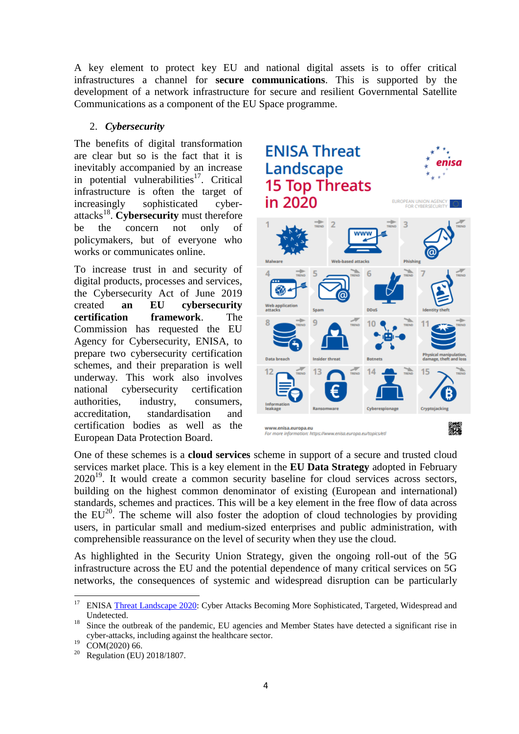A key element to protect key EU and national digital assets is to offer critical infrastructures a channel for **secure communications**. This is supported by the development of a network infrastructure for secure and resilient Governmental Satellite Communications as a component of the EU Space programme.

# 2. *Cybersecurity*

The benefits of digital transformation are clear but so is the fact that it is inevitably accompanied by an increase in potential vulnerabilities $17$ . Critical infrastructure is often the target of increasingly sophisticated cyberattacks<sup>18</sup>. **Cybersecurity** must therefore be the concern not only of policymakers, but of everyone who works or communicates online.

To increase trust in and security of digital products, processes and services, the Cybersecurity Act of June 2019 created **an EU cybersecurity certification framework**. The Commission has requested the EU Agency for Cybersecurity, ENISA, to prepare two cybersecurity certification schemes, and their preparation is well underway. This work also involves national cybersecurity certification authorities, industry, consumers, accreditation, standardisation and certification bodies as well as the European Data Protection Board.



One of these schemes is a **cloud services** scheme in support of a secure and trusted cloud services market place. This is a key element in the **EU Data Strategy** adopted in February  $2020^{19}$ . It would create a common security baseline for cloud services across sectors, building on the highest common denominator of existing (European and international) standards, schemes and practices. This will be a key element in the free flow of data across the  $EU^{20}$ . The scheme will also foster the adoption of cloud technologies by providing users, in particular small and medium-sized enterprises and public administration, with comprehensible reassurance on the level of security when they use the cloud.

As highlighted in the Security Union Strategy, given the ongoing roll-out of the 5G infrastructure across the EU and the potential dependence of many critical services on 5G networks, the consequences of systemic and widespread disruption can be particularly

**<sup>.</sup>** <sup>17</sup> ENISA [Threat Landscape 2020:](https://www.enisa.europa.eu/news/enisa-news/enisa-threat-landscape-2020) Cyber Attacks Becoming More Sophisticated, Targeted, Widespread and Undetected.

<sup>&</sup>lt;sup>18</sup> Since the outbreak of the pandemic. EU agencies and Member States have detected a significant rise in cyber-attacks, including against the healthcare sector.

 $^{19}$  COM(2020) 66.

<sup>20</sup> Regulation (EU) 2018/1807.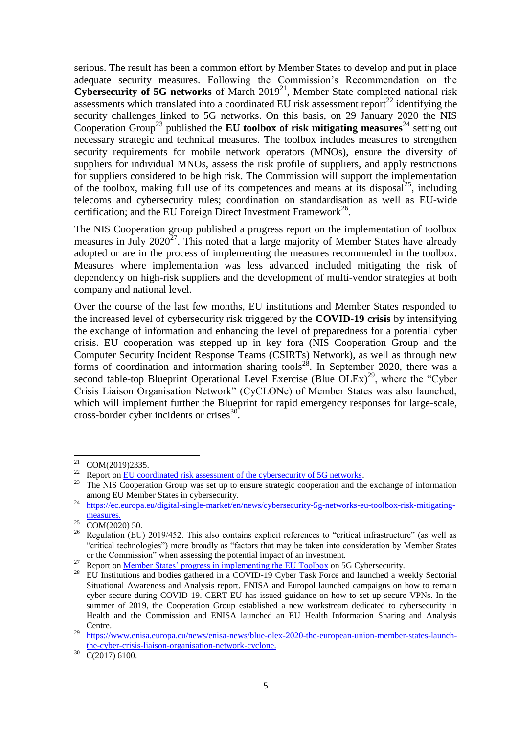serious. The result has been a common effort by Member States to develop and put in place adequate security measures. Following the Commission's Recommendation on the **Cybersecurity of 5G networks** of March 2019<sup>21</sup>, Member State completed national risk assessments which translated into a coordinated EU risk assessment report<sup>22</sup> identifying the security challenges linked to 5G networks. On this basis, on 29 January 2020 the NIS Cooperation Group<sup>23</sup> published the **EU toolbox of risk mitigating measures**<sup>24</sup> setting out necessary strategic and technical measures. The toolbox includes measures to strengthen security requirements for mobile network operators (MNOs), ensure the diversity of suppliers for individual MNOs, assess the risk profile of suppliers, and apply restrictions for suppliers considered to be high risk. The Commission will support the implementation of the toolbox, making full use of its competences and means at its disposal<sup>25</sup>, including telecoms and cybersecurity rules; coordination on standardisation as well as EU-wide certification; and the EU Foreign Direct Investment Framework<sup>26</sup>.

The NIS Cooperation group published a progress report on the implementation of toolbox measures in July  $2020^{27}$ . This noted that a large majority of Member States have already adopted or are in the process of implementing the measures recommended in the toolbox. Measures where implementation was less advanced included mitigating the risk of dependency on high-risk suppliers and the development of multi-vendor strategies at both company and national level.

Over the course of the last few months, EU institutions and Member States responded to the increased level of cybersecurity risk triggered by the **COVID-19 crisis** by intensifying the exchange of information and enhancing the level of preparedness for a potential cyber crisis. EU cooperation was stepped up in key fora (NIS Cooperation Group and the Computer Security Incident Response Teams (CSIRTs) Network), as well as through new forms of coordination and information sharing tools<sup>28</sup>. In September 2020, there was a second table-top Blueprint Operational Level Exercise (Blue OLEx)<sup>29</sup>, where the "Cyber Crisis Liaison Organisation Network" (CyCLONe) of Member States was also launched, which will implement further the Blueprint for rapid emergency responses for large-scale, cross-border cyber incidents or crises $^{30}$ .

<sup>21</sup>  $^{21}$  COM(2019)2335.

<sup>&</sup>lt;sup>22</sup> Report on  $\underline{EU}$  coordinated risk assessment of the cybersecurity of 5G networks.<br><sup>23</sup> The NIS Cooperation Group was set up to ensure strategie aconomic and the

The NIS Cooperation Group was set up to ensure strategic cooperation and the exchange of information among EU Member States in cybersecurity.

<sup>&</sup>lt;sup>24</sup> [https://ec.europa.eu/digital-single-market/en/news/cybersecurity-5g-networks-eu-toolbox-risk-mitigating](https://ec.europa.eu/digital-single-market/en/news/cybersecurity-5g-networks-eu-toolbox-risk-mitigating-measures)[measures.](https://ec.europa.eu/digital-single-market/en/news/cybersecurity-5g-networks-eu-toolbox-risk-mitigating-measures)

 $25 \frac{\text{m}}{\text{COM}(2020)}$  50.

<sup>&</sup>lt;sup>26</sup> Regulation (EU) 2019/452. This also contains explicit references to "critical infrastructure" (as well as "critical technologies") more broadly as "factors that may be taken into consideration by Member States or the Commission" when assessing the potential impact of an investment.

<sup>&</sup>lt;sup>27</sup> Report o[n Member States' progress in implementing the EU Toolbox](https://ec.europa.eu/digital-single-market/en/news/report-member-states-progress-implementing-eu-toolbox-5g-cybersecurity) on 5G Cybersecurity.

<sup>&</sup>lt;sup>28</sup> EU Institutions and bodies gathered in a COVID-19 Cyber Task Force and launched a weekly Sectorial Situational Awareness and Analysis report. ENISA and Europol launched campaigns on how to remain cyber secure during COVID-19. CERT-EU has issued guidance on how to set up secure VPNs. In the summer of 2019, the Cooperation Group established a new workstream dedicated to cybersecurity in Health and the Commission and ENISA launched an EU Health Information Sharing and Analysis Centre.

<sup>29</sup> [https://www.enisa.europa.eu/news/enisa-news/blue-olex-2020-the-european-union-member-states-launch](https://www.enisa.europa.eu/news/enisa-news/blue-olex-2020-the-european-union-member-states-launch-the-cyber-crisis-liaison-organisation-network-cyclone)[the-cyber-crisis-liaison-organisation-network-cyclone.](https://www.enisa.europa.eu/news/enisa-news/blue-olex-2020-the-european-union-member-states-launch-the-cyber-crisis-liaison-organisation-network-cyclone)

 $30\text{ }C(2017)$  6100.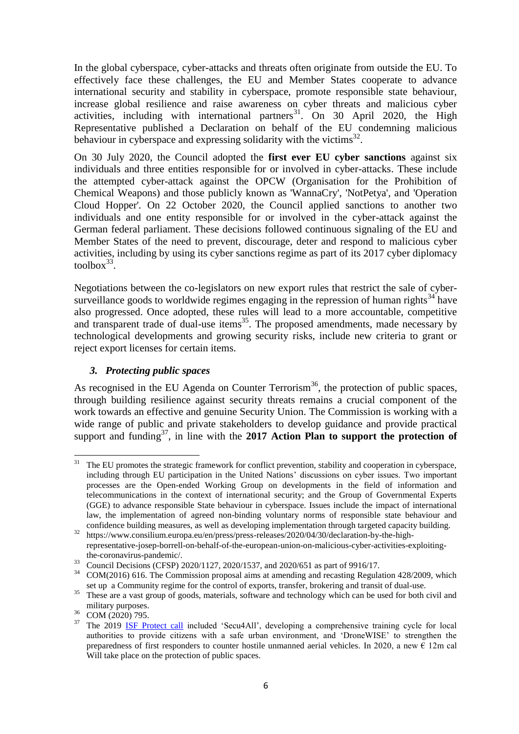In the global cyberspace, cyber-attacks and threats often originate from outside the EU. To effectively face these challenges, the EU and Member States cooperate to advance international security and stability in cyberspace, promote responsible state behaviour, increase global resilience and raise awareness on cyber threats and malicious cyber activities, including with international partners<sup>31</sup>. On 30 April 2020, the High Representative published a Declaration on behalf of the EU condemning malicious behaviour in cyberspace and expressing solidarity with the victims $^{32}$ .

On 30 July 2020, the Council adopted the **first ever EU cyber sanctions** against six individuals and three entities responsible for or involved in cyber-attacks. These include the attempted cyber-attack against the OPCW (Organisation for the Prohibition of Chemical Weapons) and those publicly known as 'WannaCry', 'NotPetya', and 'Operation Cloud Hopper'. On 22 October 2020, the Council applied sanctions to another two individuals and one entity responsible for or involved in the cyber-attack against the German federal parliament. These decisions followed continuous signaling of the EU and Member States of the need to prevent, discourage, deter and respond to malicious cyber activities, including by using its cyber sanctions regime as part of its 2017 cyber diplomacy  $toolbox<sup>33</sup>$ .

Negotiations between the co-legislators on new export rules that restrict the sale of cybersurveillance goods to worldwide regimes engaging in the repression of human rights<sup>34</sup> have also progressed. Once adopted, these rules will lead to a more accountable, competitive and transparent trade of dual-use items<sup>35</sup>. The proposed amendments, made necessary by technological developments and growing security risks, include new criteria to grant or reject export licenses for certain items.

# *3. Protecting public spaces*

As recognised in the EU Agenda on Counter Terrorism<sup>36</sup>, the protection of public spaces, through building resilience against security threats remains a crucial component of the work towards an effective and genuine Security Union. The Commission is working with a wide range of public and private stakeholders to develop guidance and provide practical support and funding<sup>37</sup>, in line with the **2017** Action Plan to support the protection of

 $31\,$ <sup>31</sup> The EU promotes the strategic framework for conflict prevention, stability and cooperation in cyberspace, including through EU participation in the United Nations' discussions on cyber issues. Two important processes are the Open-ended Working Group on developments in the field of information and telecommunications in the context of international security; and the Group of Governmental Experts (GGE) to advance responsible State behaviour in cyberspace. Issues include the impact of international law, the implementation of agreed non-binding voluntary norms of responsible state behaviour and confidence building measures, as well as developing implementation through targeted capacity building.

<sup>&</sup>lt;sup>32</sup> https://www.consilium.europa.eu/en/press/press-releases/2020/04/30/declaration-by-the-highrepresentative-josep-borrell-on-behalf-of-the-european-union-on-malicious-cyber-activities-exploitingthe-coronavirus-pandemic/.

<sup>&</sup>lt;sup>33</sup> Council Decisions (CFSP) 2020/1127, 2020/1537, and 2020/651 as part of 9916/17.

<sup>&</sup>lt;sup>34</sup> COM(2016) 616. The Commission proposal aims at amending and recasting Regulation 428/2009, which set up a Community regime for the control of exports, transfer, brokering and transit of dual-use.

<sup>&</sup>lt;sup>35</sup> These are a vast group of goods, materials, software and technology which can be used for both civil and military purposes.

<sup>36</sup> COM (2020) 795.

<sup>&</sup>lt;sup>37</sup> The 2019 [ISF Protect call](https://ec.europa.eu/home-affairs/call-for-proposals-projects-protection-public-spaces-isfp-2019-ag-protect_en) included 'Secu4All', developing a comprehensive training cycle for local authorities to provide citizens with a safe urban environment, and 'DroneWISE' to strengthen the preparedness of first responders to counter hostile unmanned aerial vehicles. In 2020, a new  $\epsilon$  12m cal Will take place on the protection of public spaces.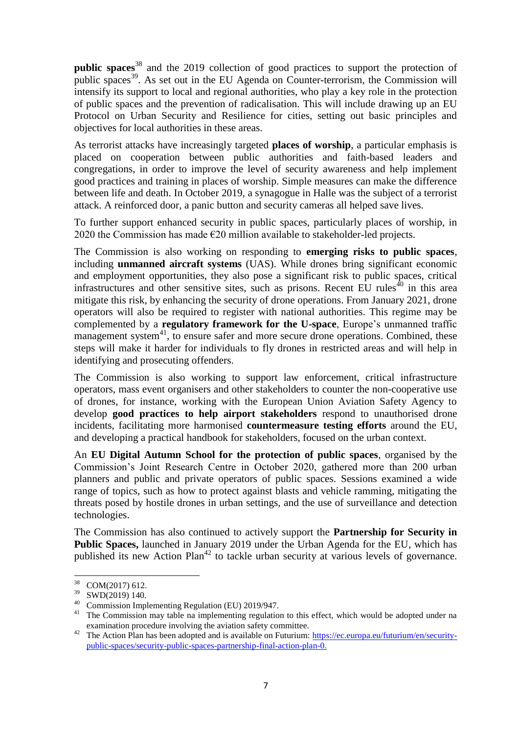**public spaces**<sup>38</sup> and the 2019 collection of good practices to support the protection of public spaces<sup>39</sup>. As set out in the EU Agenda on Counter-terrorism, the Commission will intensify its support to local and regional authorities, who play a key role in the protection of public spaces and the prevention of radicalisation. This will include drawing up an EU Protocol on Urban Security and Resilience for cities, setting out basic principles and objectives for local authorities in these areas.

As terrorist attacks have increasingly targeted **places of worship**, a particular emphasis is placed on cooperation between public authorities and faith-based leaders and congregations, in order to improve the level of security awareness and help implement good practices and training in places of worship. Simple measures can make the difference between life and death. In October 2019, a synagogue in Halle was the subject of a terrorist attack. A reinforced door, a panic button and security cameras all helped save lives.

To further support enhanced security in public spaces, particularly places of worship, in 2020 the Commission has made  $E20$  million available to stakeholder-led projects.

The Commission is also working on responding to **emerging risks to public spaces**, including **unmanned aircraft systems** (UAS). While drones bring significant economic and employment opportunities, they also pose a significant risk to public spaces, critical infrastructures and other sensitive sites, such as prisons. Recent EU rules<sup> $40$ </sup> in this area mitigate this risk, by enhancing the security of drone operations. From January 2021, drone operators will also be required to register with national authorities. This regime may be complemented by a **regulatory framework for the U-space**, Europe's unmanned traffic management system<sup>41</sup>, to ensure safer and more secure drone operations. Combined, these steps will make it harder for individuals to fly drones in restricted areas and will help in identifying and prosecuting offenders.

The Commission is also working to support law enforcement, critical infrastructure operators, mass event organisers and other stakeholders to counter the non-cooperative use of drones, for instance, working with the European Union Aviation Safety Agency to develop **good practices to help airport stakeholders** respond to unauthorised drone incidents, facilitating more harmonised **countermeasure testing efforts** around the EU, and developing a practical handbook for stakeholders, focused on the urban context.

An **EU Digital Autumn School for the protection of public spaces**, organised by the Commission's Joint Research Centre in October 2020, gathered more than 200 urban planners and public and private operators of public spaces. Sessions examined a wide range of topics, such as how to protect against blasts and vehicle ramming, mitigating the threats posed by hostile drones in urban settings, and the use of surveillance and detection technologies.

The Commission has also continued to actively support the **Partnership for Security in Public Spaces,** launched in January 2019 under the Urban Agenda for the EU, which has published its new Action Plan<sup>42</sup> to tackle urban security at various levels of governance.

<sup>38</sup> COM(2017) 612.

 $39$  SWD(2019) 140.

<sup>40</sup> Commission Implementing Regulation (EU) 2019/947.

<sup>&</sup>lt;sup>41</sup> The Commission may table na implementing regulation to this effect, which would be adopted under na examination procedure involving the aviation safety committee.

<sup>&</sup>lt;sup>42</sup> The Action Plan has been adopted and is available on Futurium: [https://ec.europa.eu/futurium/en/security](https://ec.europa.eu/futurium/en/security-public-spaces/security-public-spaces-partnership-final-action-plan-0)[public-spaces/security-public-spaces-partnership-final-action-plan-0.](https://ec.europa.eu/futurium/en/security-public-spaces/security-public-spaces-partnership-final-action-plan-0)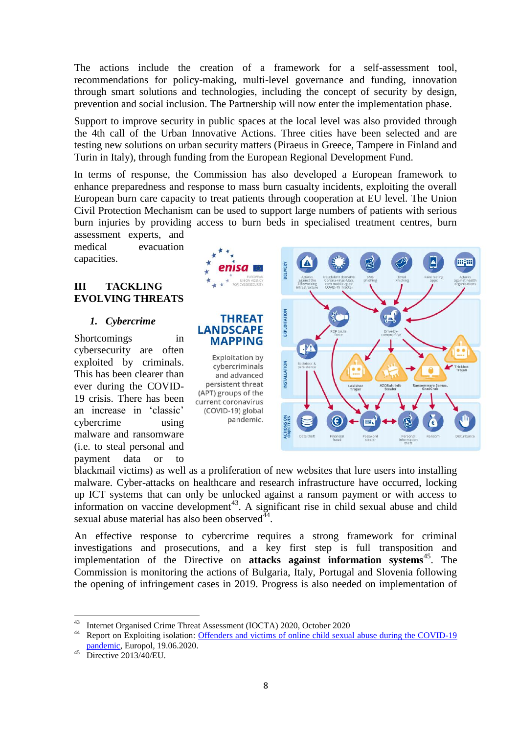The actions include the creation of a framework for a self-assessment tool, recommendations for policy-making, multi-level governance and funding, innovation through smart solutions and technologies, including the concept of security by design, prevention and social inclusion. The Partnership will now enter the implementation phase.

Support to improve security in public spaces at the local level was also provided through the 4th call of the Urban Innovative Actions. Three cities have been selected and are testing new solutions on urban security matters (Piraeus in Greece, Tampere in Finland and Turin in Italy), through funding from the European Regional Development Fund.

In terms of response, the Commission has also developed a European framework to enhance preparedness and response to mass burn casualty incidents, exploiting the overall European burn care capacity to treat patients through cooperation at EU level. The Union Civil Protection Mechanism can be used to support large numbers of patients with serious burn injuries by providing access to burn beds in specialised treatment centres, burn assessment experts, and

medical evacuation capacities.

# **III TACKLING EVOLVING THREATS**

# *1. Cybercrime*

Shortcomings in cybersecurity are often exploited by criminals. This has been clearer than ever during the COVID-19 crisis. There has been an increase in 'classic' cybercrime using malware and ransomware (i.e. to steal personal and payment data or to



blackmail victims) as well as a proliferation of new websites that lure users into installing malware. Cyber-attacks on healthcare and research infrastructure have occurred, locking up ICT systems that can only be unlocked against a ransom payment or with access to information on vaccine development<sup>43</sup>. A significant rise in child sexual abuse and child sexual abuse material has also been observed $^{44}$ .

An effective response to cybercrime requires a strong framework for criminal investigations and prosecutions, and a key first step is full transposition and implementation of the Directive on **attacks against information systems**<sup>45</sup>. The Commission is monitoring the actions of Bulgaria, Italy, Portugal and Slovenia following the opening of infringement cases in 2019. Progress is also needed on implementation of

 $43$ <sup>43</sup> Internet Organised Crime Threat Assessment (IOCTA) 2020, October 2020

<sup>44</sup> Report on Exploiting isolation: [Offenders and victims of online child sexual abuse during the COVID-19](https://www.europol.europa.eu/publications-documents/exploiting-isolation-offenders-and-victims-of-online-child-sexual-abuse-during-covid-19-pandemic)  [pandemic,](https://www.europol.europa.eu/publications-documents/exploiting-isolation-offenders-and-victims-of-online-child-sexual-abuse-during-covid-19-pandemic) Europol, 19.06.2020.

 $45$  Directive  $2013/40/EU$ .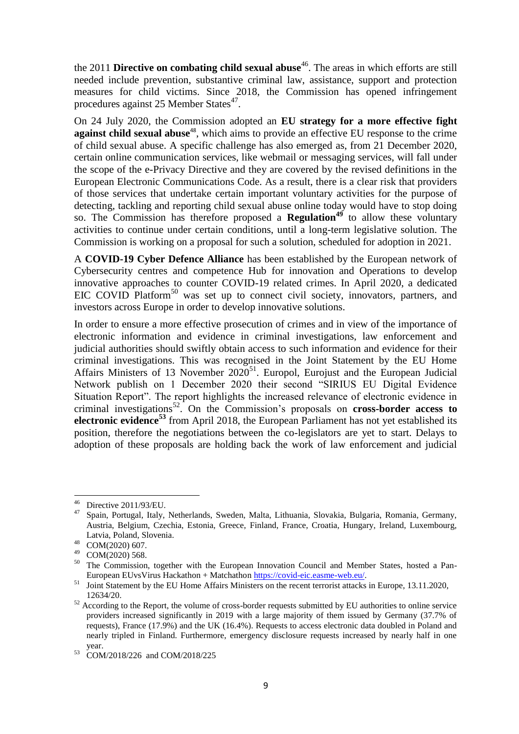the 2011 **Directive on combating child sexual abuse**<sup>46</sup>. The areas in which efforts are still needed include prevention, substantive criminal law, assistance, support and protection measures for child victims. Since 2018, the Commission has opened infringement procedures against 25 Member States<sup>47</sup>.

On 24 July 2020, the Commission adopted an **EU strategy for a more effective fight against child sexual abuse**<sup>48</sup>, which aims to provide an effective EU response to the crime of child sexual abuse. A specific challenge has also emerged as, from 21 December 2020, certain online communication services, like webmail or messaging services, will fall under the scope of the e-Privacy Directive and they are covered by the revised definitions in the European Electronic Communications Code. As a result, there is a clear risk that providers of those services that undertake certain important voluntary activities for the purpose of detecting, tackling and reporting child sexual abuse online today would have to stop doing so. The Commission has therefore proposed a **Regulation<sup>49</sup>** to allow these voluntary activities to continue under certain conditions, until a long-term legislative solution. The Commission is working on a proposal for such a solution, scheduled for adoption in 2021.

A **COVID-19 Cyber Defence Alliance** has been established by the European network of Cybersecurity centres and competence Hub for innovation and Operations to develop innovative approaches to counter COVID-19 related crimes. In April 2020, a dedicated EIC COVID Platform<sup>50</sup> was set up to connect civil society, innovators, partners, and investors across Europe in order to develop innovative solutions.

In order to ensure a more effective prosecution of crimes and in view of the importance of electronic information and evidence in criminal investigations, law enforcement and judicial authorities should swiftly obtain access to such information and evidence for their criminal investigations. This was recognised in the Joint Statement by the EU Home Affairs Ministers of 13 November  $2020^{51}$ . Europol, Eurojust and the European Judicial Network publish on 1 December 2020 their second "SIRIUS EU Digital Evidence Situation Report". The report highlights the increased relevance of electronic evidence in criminal investigations<sup>52</sup>. On the Commission's proposals on **cross-border access to electronic evidence<sup>53</sup>** from April 2018, the European Parliament has not yet established its position, therefore the negotiations between the co-legislators are yet to start. Delays to adoption of these proposals are holding back the work of law enforcement and judicial

 $46\,$  $^{46}$  Directive 2011/93/EU.

<sup>47</sup> Spain, Portugal, Italy, Netherlands, Sweden, Malta, Lithuania, Slovakia, Bulgaria, Romania, Germany, Austria, Belgium, Czechia, Estonia, Greece, Finland, France, Croatia, Hungary, Ireland, Luxembourg, Latvia, Poland, Slovenia.

<sup>48</sup> COM(2020) 607.

<sup>49</sup> COM(2020) 568.

<sup>&</sup>lt;sup>50</sup> The Commission, together with the European Innovation Council and Member States, hosted a Pan-European EUvsVirus Hackathon + Matchathon [https://covid-eic.easme-web.eu/.](https://covid-eic.easme-web.eu/)

<sup>&</sup>lt;sup>51</sup> Joint Statement by the EU Home Affairs Ministers on the recent terrorist attacks in Europe, 13.11.2020, 12634/20.

<sup>&</sup>lt;sup>52</sup> According to the Report, the volume of cross-border requests submitted by EU authorities to online service providers increased significantly in 2019 with a large majority of them issued by Germany (37.7% of requests), France (17.9%) and the UK (16.4%). Requests to access electronic data doubled in Poland and nearly tripled in Finland. Furthermore, emergency disclosure requests increased by nearly half in one year.

<sup>53</sup> COM/2018/226 and COM/2018/225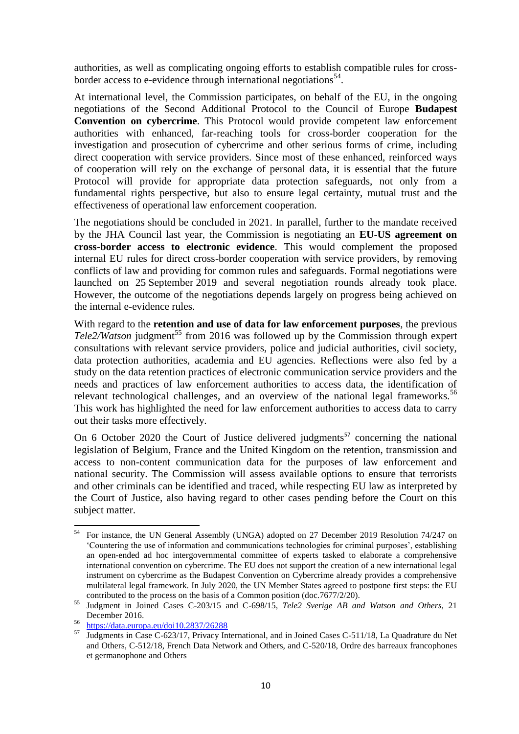authorities, as well as complicating ongoing efforts to establish compatible rules for crossborder access to e-evidence through international negotiations<sup>54</sup>.

At international level, the Commission participates, on behalf of the EU, in the ongoing negotiations of the Second Additional Protocol to the Council of Europe **Budapest Convention on cybercrime**. This Protocol would provide competent law enforcement authorities with enhanced, far-reaching tools for cross-border cooperation for the investigation and prosecution of cybercrime and other serious forms of crime, including direct cooperation with service providers. Since most of these enhanced, reinforced ways of cooperation will rely on the exchange of personal data, it is essential that the future Protocol will provide for appropriate data protection safeguards, not only from a fundamental rights perspective, but also to ensure legal certainty, mutual trust and the effectiveness of operational law enforcement cooperation.

The negotiations should be concluded in 2021. In parallel, further to the mandate received by the JHA Council last year, the Commission is negotiating an **EU-US agreement on cross-border access to electronic evidence**. This would complement the proposed internal EU rules for direct cross-border cooperation with service providers, by removing conflicts of law and providing for common rules and safeguards. Formal negotiations were launched on 25 September 2019 and several negotiation rounds already took place. However, the outcome of the negotiations depends largely on progress being achieved on the internal e-evidence rules.

With regard to the **retention and use of data for law enforcement purposes**, the previous *Tele2/Watson* judgment<sup>55</sup> from 2016 was followed up by the Commission through expert consultations with relevant service providers, police and judicial authorities, civil society, data protection authorities, academia and EU agencies. Reflections were also fed by a study on the data retention practices of electronic communication service providers and the needs and practices of law enforcement authorities to access data, the identification of relevant technological challenges, and an overview of the national legal frameworks.<sup>56</sup> This work has highlighted the need for law enforcement authorities to access data to carry out their tasks more effectively.

On 6 October 2020 the Court of Justice delivered judgments<sup>57</sup> concerning the national legislation of Belgium, France and the United Kingdom on the retention, transmission and access to non-content communication data for the purposes of law enforcement and national security. The Commission will assess available options to ensure that terrorists and other criminals can be identified and traced, while respecting EU law as interpreted by the Court of Justice, also having regard to other cases pending before the Court on this subject matter.

<sup>54</sup> <sup>54</sup> For instance, the UN General Assembly (UNGA) adopted on 27 December 2019 Resolution 74/247 on 'Countering the use of information and communications technologies for criminal purposes', establishing an open-ended ad hoc intergovernmental committee of experts tasked to elaborate a comprehensive international convention on cybercrime. The EU does not support the creation of a new international legal instrument on cybercrime as the Budapest Convention on Cybercrime already provides a comprehensive multilateral legal framework. In July 2020, the UN Member States agreed to postpone first steps: the EU contributed to the process on the basis of a Common position (doc.7677/2/20).

<sup>55</sup> Judgment in Joined Cases C-203/15 and C-698/15, *Tele2 Sverige AB and Watson and Others,* 21 December 2016.

<sup>56</sup> <https://data.europa.eu/doi10.2837/26288>

<sup>&</sup>lt;sup>57</sup> Judgments in Case C-623/17, Privacy International, and in Joined Cases C-511/18, La Quadrature du Net and Others, C-512/18, French Data Network and Others, and C-520/18, Ordre des barreaux francophones et germanophone and Others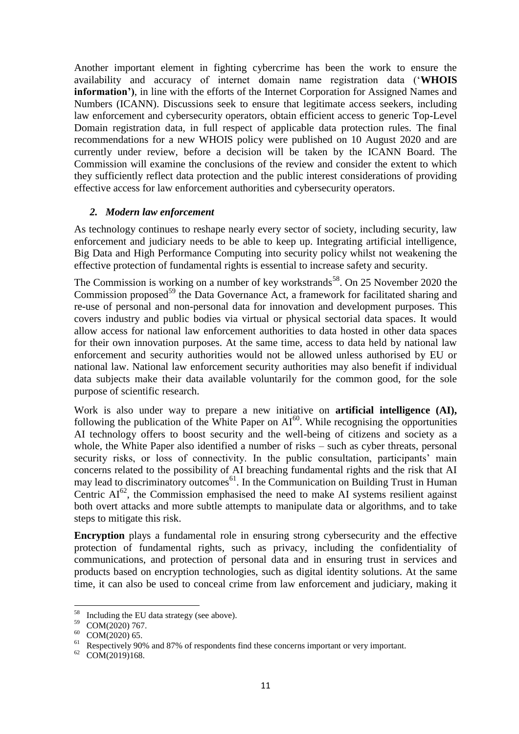Another important element in fighting cybercrime has been the work to ensure the availability and accuracy of internet domain name registration data ('**WHOIS information')**, in line with the efforts of the Internet Corporation for Assigned Names and Numbers (ICANN). Discussions seek to ensure that legitimate access seekers, including law enforcement and cybersecurity operators, obtain efficient access to generic Top-Level Domain registration data, in full respect of applicable data protection rules. The final recommendations for a new WHOIS policy were published on 10 August 2020 and are currently under review, before a decision will be taken by the ICANN Board. The Commission will examine the conclusions of the review and consider the extent to which they sufficiently reflect data protection and the public interest considerations of providing effective access for law enforcement authorities and cybersecurity operators.

# *2. Modern law enforcement*

As technology continues to reshape nearly every sector of society, including security, law enforcement and judiciary needs to be able to keep up. Integrating artificial intelligence, Big Data and High Performance Computing into security policy whilst not weakening the effective protection of fundamental rights is essential to increase safety and security.

The Commission is working on a number of key workstrands<sup>58</sup>. On 25 November 2020 the Commission proposed<sup>59</sup> the Data Governance Act, a framework for facilitated sharing and re-use of personal and non-personal data for innovation and development purposes. This covers industry and public bodies via virtual or physical sectorial data spaces. It would allow access for national law enforcement authorities to data hosted in other data spaces for their own innovation purposes. At the same time, access to data held by national law enforcement and security authorities would not be allowed unless authorised by EU or national law. National law enforcement security authorities may also benefit if individual data subjects make their data available voluntarily for the common good, for the sole purpose of scientific research.

Work is also under way to prepare a new initiative on **artificial intelligence (AI),**  following the publication of the White Paper on  $AI^{60}$ . While recognising the opportunities AI technology offers to boost security and the well-being of citizens and society as a whole, the White Paper also identified a number of risks – such as cyber threats, personal security risks, or loss of connectivity. In the public consultation, participants' main concerns related to the possibility of AI breaching fundamental rights and the risk that AI may lead to discriminatory outcomes<sup>61</sup>. In the Communication on Building Trust in Human Centric  $AI^{62}$ , the Commission emphasised the need to make AI systems resilient against both overt attacks and more subtle attempts to manipulate data or algorithms, and to take steps to mitigate this risk.

**Encryption** plays a fundamental role in ensuring strong cybersecurity and the effective protection of fundamental rights, such as privacy, including the confidentiality of communications, and protection of personal data and in ensuring trust in services and products based on encryption technologies, such as digital identity solutions. At the same time, it can also be used to conceal crime from law enforcement and judiciary, making it

<sup>58</sup> Including the EU data strategy (see above).

<sup>59</sup> COM(2020) 767.

<sup>60</sup> COM(2020) 65.

<sup>&</sup>lt;sup>61</sup> Respectively 90% and 87% of respondents find these concerns important or very important.

 $62$  COM(2019)168.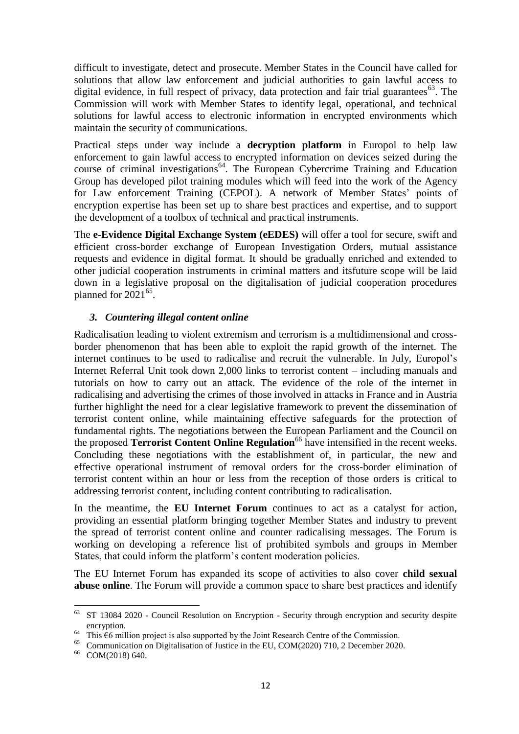difficult to investigate, detect and prosecute. Member States in the Council have called for solutions that allow law enforcement and judicial authorities to gain lawful access to digital evidence, in full respect of privacy, data protection and fair trial guarantees<sup>63</sup>. The Commission will work with Member States to identify legal, operational, and technical solutions for lawful access to electronic information in encrypted environments which maintain the security of communications.

Practical steps under way include a **decryption platform** in Europol to help law enforcement to gain lawful access to encrypted information on devices seized during the course of criminal investigations<sup>64</sup>. The European Cybercrime Training and Education Group has developed pilot training modules which will feed into the work of the Agency for Law enforcement Training (CEPOL). A network of Member States' points of encryption expertise has been set up to share best practices and expertise, and to support the development of a toolbox of technical and practical instruments.

The **e-Evidence Digital Exchange System (eEDES)** will offer a tool for secure, swift and efficient cross-border exchange of European Investigation Orders, mutual assistance requests and evidence in digital format. It should be gradually enriched and extended to other judicial cooperation instruments in criminal matters and itsfuture scope will be laid down in a legislative proposal on the digitalisation of judicial cooperation procedures planned for  $2021^{65}$ .

# *3. Countering illegal content online*

Radicalisation leading to violent extremism and terrorism is a multidimensional and crossborder phenomenon that has been able to exploit the rapid growth of the internet. The internet continues to be used to radicalise and recruit the vulnerable. In July, Europol's Internet Referral Unit took down 2,000 links to terrorist content – including manuals and tutorials on how to carry out an attack. The evidence of the role of the internet in radicalising and advertising the crimes of those involved in attacks in France and in Austria further highlight the need for a clear legislative framework to prevent the dissemination of terrorist content online, while maintaining effective safeguards for the protection of fundamental rights. The negotiations between the European Parliament and the Council on the proposed **Terrorist Content Online Regulation**<sup>66</sup> have intensified in the recent weeks. Concluding these negotiations with the establishment of, in particular, the new and effective operational instrument of removal orders for the cross-border elimination of terrorist content within an hour or less from the reception of those orders is critical to addressing terrorist content, including content contributing to radicalisation.

In the meantime, the **EU Internet Forum** continues to act as a catalyst for action, providing an essential platform bringing together Member States and industry to prevent the spread of terrorist content online and counter radicalising messages. The Forum is working on developing a reference list of prohibited symbols and groups in Member States, that could inform the platform's content moderation policies.

The EU Internet Forum has expanded its scope of activities to also cover **child sexual abuse online**. The Forum will provide a common space to share best practices and identify

<sup>63</sup> <sup>63</sup> ST 13084 2020 - Council Resolution on Encryption - Security through encryption and security despite encryption.

<sup>&</sup>lt;sup>64</sup> This  $\epsilon$ 6 million project is also supported by the Joint Research Centre of the Commission.

<sup>65</sup> Communication on Digitalisation of Justice in the EU, COM(2020) 710, 2 December 2020.

<sup>66</sup> COM(2018) 640.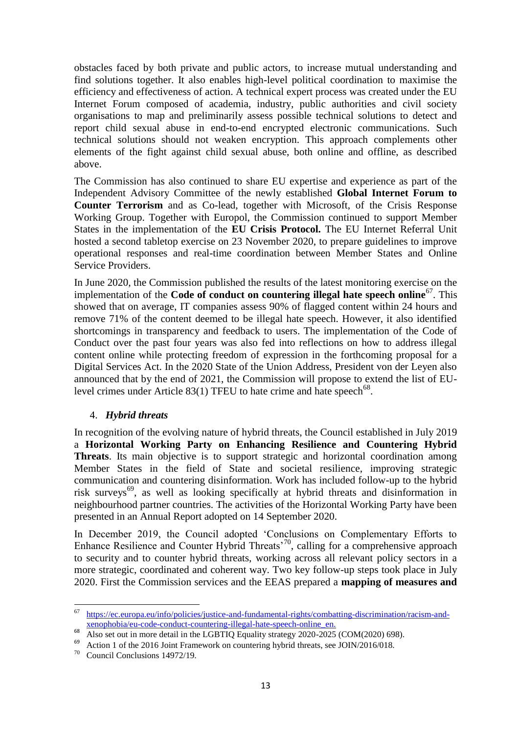obstacles faced by both private and public actors, to increase mutual understanding and find solutions together. It also enables high-level political coordination to maximise the efficiency and effectiveness of action. A technical expert process was created under the EU Internet Forum composed of academia, industry, public authorities and civil society organisations to map and preliminarily assess possible technical solutions to detect and report child sexual abuse in end-to-end encrypted electronic communications. Such technical solutions should not weaken encryption. This approach complements other elements of the fight against child sexual abuse, both online and offline, as described above.

The Commission has also continued to share EU expertise and experience as part of the Independent Advisory Committee of the newly established **Global Internet Forum to Counter Terrorism** and as Co-lead, together with Microsoft, of the Crisis Response Working Group. Together with Europol, the Commission continued to support Member States in the implementation of the **EU Crisis Protocol.** The EU Internet Referral Unit hosted a second tabletop exercise on 23 November 2020, to prepare guidelines to improve operational responses and real-time coordination between Member States and Online Service Providers.

In June 2020, the Commission published the results of the latest monitoring exercise on the implementation of the **Code of conduct on countering illegal hate speech online**<sup>67</sup>. This showed that on average, IT companies assess 90% of flagged content within 24 hours and remove 71% of the content deemed to be illegal hate speech. However, it also identified shortcomings in transparency and feedback to users. The implementation of the Code of Conduct over the past four years was also fed into reflections on how to address illegal content online while protecting freedom of expression in the forthcoming proposal for a Digital Services Act. In the 2020 State of the Union Address, President von der Leyen also announced that by the end of 2021, the Commission will propose to extend the list of EUlevel crimes under Article 83(1) TFEU to hate crime and hate speech<sup>68</sup>.

# 4. *Hybrid threats*

In recognition of the evolving nature of hybrid threats, the Council established in July 2019 a **Horizontal Working Party on Enhancing Resilience and Countering Hybrid Threats**. Its main objective is to support strategic and horizontal coordination among Member States in the field of State and societal resilience, improving strategic communication and countering disinformation. Work has included follow-up to the hybrid risk surveys<sup>69</sup>, as well as looking specifically at hybrid threats and disinformation in neighbourhood partner countries. The activities of the Horizontal Working Party have been presented in an Annual Report adopted on 14 September 2020.

In December 2019, the Council adopted 'Conclusions on Complementary Efforts to Enhance Resilience and Counter Hybrid Threats<sup>70</sup>, calling for a comprehensive approach to security and to counter hybrid threats, working across all relevant policy sectors in a more strategic, coordinated and coherent way. Two key follow-up steps took place in July 2020. First the Commission services and the EEAS prepared a **mapping of measures and** 

<sup>67</sup> <sup>67</sup> [https://ec.europa.eu/info/policies/justice-and-fundamental-rights/combatting-discrimination/racism-and](https://ec.europa.eu/info/policies/justice-and-fundamental-rights/combatting-discrimination/racism-and-xenophobia/eu-code-conduct-countering-illegal-hate-speech-online_en)[xenophobia/eu-code-conduct-countering-illegal-hate-speech-online\\_en.](https://ec.europa.eu/info/policies/justice-and-fundamental-rights/combatting-discrimination/racism-and-xenophobia/eu-code-conduct-countering-illegal-hate-speech-online_en)

 $\overline{\text{Also set out in more detail in the LGBTIQ Equality strategy 2020-2025 (COM(2020) 698)}}$ .

<sup>&</sup>lt;sup>69</sup> Action 1 of the 2016 Joint Framework on countering hybrid threats, see JOIN/2016/018.

<sup>70</sup> Council Conclusions 14972/19.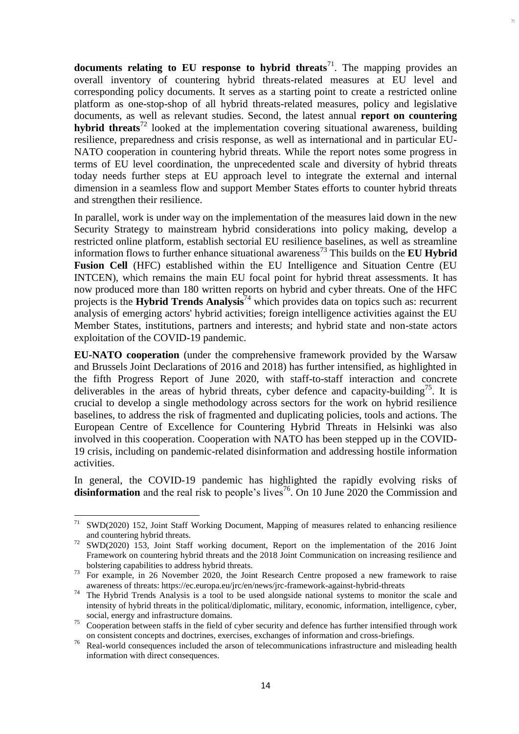**documents relating to EU response to hybrid threats<sup>71</sup>. The mapping provides an** overall inventory of countering hybrid threats-related measures at EU level and corresponding policy documents. It serves as a starting point to create a restricted online platform as one-stop-shop of all hybrid threats-related measures, policy and legislative documents, as well as relevant studies. Second, the latest annual **report on countering hybrid threats**<sup>72</sup> looked at the implementation covering situational awareness, building resilience, preparedness and crisis response, as well as international and in particular EU-NATO cooperation in countering hybrid threats. While the report notes some progress in terms of EU level coordination, the unprecedented scale and diversity of hybrid threats today needs further steps at EU approach level to integrate the external and internal dimension in a seamless flow and support Member States efforts to counter hybrid threats and strengthen their resilience.

In parallel, work is under way on the implementation of the measures laid down in the new Security Strategy to mainstream hybrid considerations into policy making, develop a restricted online platform, establish sectorial EU resilience baselines, as well as streamline information flows to further enhance situational awareness<sup>73</sup> This builds on the **EU Hybrid Fusion Cell** (HFC) established within the EU Intelligence and Situation Centre (EU INTCEN), which remains the main EU focal point for hybrid threat assessments. It has now produced more than 180 written reports on hybrid and cyber threats. One of the HFC projects is the **Hybrid Trends Analysis**<sup>74</sup> which provides data on topics such as: recurrent analysis of emerging actors' hybrid activities; foreign intelligence activities against the EU Member States, institutions, partners and interests; and hybrid state and non-state actors exploitation of the COVID-19 pandemic.

**EU-NATO cooperation** (under the comprehensive framework provided by the Warsaw and Brussels Joint Declarations of 2016 and 2018) has further intensified, as highlighted in the fifth Progress Report of June 2020, with staff-to-staff interaction and concrete deliverables in the areas of hybrid threats, cyber defence and capacity-building<sup>75</sup>. It is crucial to develop a single methodology across sectors for the work on hybrid resilience baselines, to address the risk of fragmented and duplicating policies, tools and actions. The European Centre of Excellence for Countering Hybrid Threats in Helsinki was also involved in this cooperation. Cooperation with NATO has been stepped up in the COVID-19 crisis, including on pandemic-related disinformation and addressing hostile information activities.

In general, the COVID-19 pandemic has highlighted the rapidly evolving risks of **disinformation** and the real risk to people's lives<sup>76</sup>. On 10 June 2020 the Commission and

 $71\,$ SWD(2020) 152, Joint Staff Working Document, Mapping of measures related to enhancing resilience and countering hybrid threats.

<sup>72</sup> SWD(2020) 153, Joint Staff working document, Report on the implementation of the 2016 Joint Framework on countering hybrid threats and the 2018 Joint Communication on increasing resilience and bolstering capabilities to address hybrid threats.

<sup>&</sup>lt;sup>73</sup> For example, in 26 November 2020, the Joint Research Centre proposed a new framework to raise awareness of threats: https://ec.europa.eu/jrc/en/news/jrc-framework-against-hybrid-threats

<sup>&</sup>lt;sup>74</sup> The Hybrid Trends Analysis is a tool to be used alongside national systems to monitor the scale and intensity of hybrid threats in the political/diplomatic, military, economic, information, intelligence, cyber, social, energy and infrastructure domains.

<sup>&</sup>lt;sup>75</sup> Cooperation between staffs in the field of cyber security and defence has further intensified through work on consistent concepts and doctrines, exercises, exchanges of information and cross-briefings.

<sup>&</sup>lt;sup>76</sup> Real-world consequences included the arson of telecommunications infrastructure and misleading health information with direct consequences.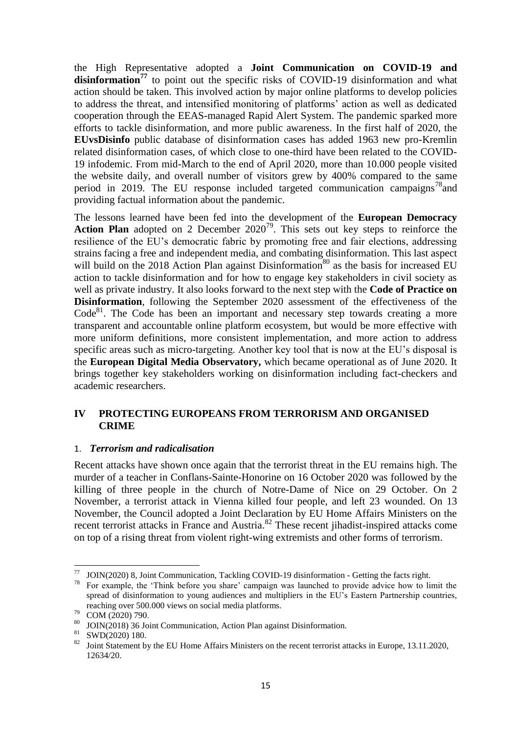the High Representative adopted a **Joint Communication on COVID-19 and**  disinformation<sup>77</sup> to point out the specific risks of COVID-19 disinformation and what action should be taken. This involved action by major online platforms to develop policies to address the threat, and intensified monitoring of platforms' action as well as dedicated cooperation through the EEAS-managed Rapid Alert System. The pandemic sparked more efforts to tackle disinformation, and more public awareness. In the first half of 2020, the **EUvsDisinfo** public database of disinformation cases has added 1963 new pro-Kremlin related disinformation cases, of which close to one-third have been related to the COVID-19 infodemic. From mid-March to the end of April 2020, more than 10.000 people visited the website daily, and overall number of visitors grew by 400% compared to the same period in 2019. The EU response included targeted communication campaigns<sup>78</sup> and providing factual information about the pandemic.

The lessons learned have been fed into the development of the **European Democracy**  Action Plan adopted on 2 December 2020<sup>79</sup>. This sets out key steps to reinforce the resilience of the EU's democratic fabric by promoting free and fair elections, addressing strains facing a free and independent media, and combating disinformation. This last aspect will build on the 2018 Action Plan against Disinformation<sup>80</sup> as the basis for increased EU action to tackle disinformation and for how to engage key stakeholders in civil society as well as private industry. It also looks forward to the next step with the **Code of Practice on Disinformation**, following the September 2020 assessment of the effectiveness of the Code<sup>81</sup>. The Code has been an important and necessary step towards creating a more transparent and accountable online platform ecosystem, but would be more effective with more uniform definitions, more consistent implementation, and more action to address specific areas such as micro-targeting. Another key tool that is now at the EU's disposal is the **European Digital Media Observatory,** which became operational as of June 2020. It brings together key stakeholders working on disinformation including fact-checkers and academic researchers.

# **IV PROTECTING EUROPEANS FROM TERRORISM AND ORGANISED CRIME**

# 1. *Terrorism and radicalisation*

Recent attacks have shown once again that the terrorist threat in the EU remains high. The murder of a teacher in Conflans-Sainte-Honorine on 16 October 2020 was followed by the killing of three people in the church of Notre-Dame of Nice on 29 October. On 2 November, a terrorist attack in Vienna killed four people, and left 23 wounded. On 13 November, the Council adopted a Joint Declaration by EU Home Affairs Ministers on the recent terrorist attacks in France and Austria.<sup>82</sup> These recent jihadist-inspired attacks come on top of a rising threat from violent right-wing extremists and other forms of terrorism.

<sup>77</sup>  $^{77}$  JOIN(2020) 8, Joint Communication, Tackling COVID-19 disinformation - Getting the facts right.

<sup>78</sup> For example, the 'Think before you share' campaign was launched to provide advice how to limit the spread of disinformation to young audiences and multipliers in the EU's Eastern Partnership countries, reaching over 500.000 views on social media platforms.

<sup>79</sup> COM (2020) 790.

<sup>80</sup> JOIN(2018) 36 Joint Communication, Action Plan against Disinformation.

<sup>81</sup> SWD(2020) 180.

<sup>&</sup>lt;sup>82</sup> Joint Statement by the EU Home Affairs Ministers on the recent terrorist attacks in Europe, 13.11.2020, 12634/20.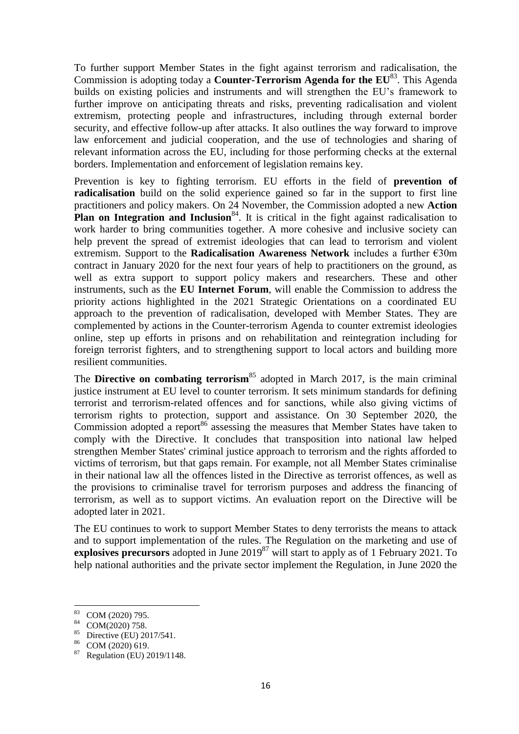To further support Member States in the fight against terrorism and radicalisation, the Commission is adopting today a **Counter-Terrorism Agenda for the EU**<sup>83</sup>. This Agenda builds on existing policies and instruments and will strengthen the EU's framework to further improve on anticipating threats and risks, preventing radicalisation and violent extremism, protecting people and infrastructures, including through external border security, and effective follow-up after attacks. It also outlines the way forward to improve law enforcement and judicial cooperation, and the use of technologies and sharing of relevant information across the EU, including for those performing checks at the external borders. Implementation and enforcement of legislation remains key.

Prevention is key to fighting terrorism. EU efforts in the field of **prevention of radicalisation** build on the solid experience gained so far in the support to first line practitioners and policy makers. On 24 November, the Commission adopted a new **Action Plan on Integration and Inclusion**<sup>84</sup>. It is critical in the fight against radicalisation to work harder to bring communities together. A more cohesive and inclusive society can help prevent the spread of extremist ideologies that can lead to terrorism and violent extremism. Support to the **Radicalisation Awareness Network** includes a further €30m contract in January 2020 for the next four years of help to practitioners on the ground, as well as extra support to support policy makers and researchers. These and other instruments, such as the **EU Internet Forum**, will enable the Commission to address the priority actions highlighted in the 2021 Strategic Orientations on a coordinated EU approach to the prevention of radicalisation, developed with Member States. They are complemented by actions in the Counter-terrorism Agenda to counter extremist ideologies online, step up efforts in prisons and on rehabilitation and reintegration including for foreign terrorist fighters, and to strengthening support to local actors and building more resilient communities.

The **Directive on combating terrorism**<sup>85</sup> adopted in March 2017, is the main criminal justice instrument at EU level to counter terrorism. It sets minimum standards for defining terrorist and terrorism-related offences and for sanctions, while also giving victims of terrorism rights to protection, support and assistance. On 30 September 2020, the Commission adopted a [report](https://ec.europa.eu/home-affairs/sites/homeaffairs/files/e-library/documents/policies/crisis-and-terrorism/report_on_transposition_of_directive_2017.541.on_combatting_terrorism.pdf) 86 assessing the measures that Member States have taken to comply with the Directive. It concludes that transposition into national law helped strengthen Member States' criminal justice approach to terrorism and the rights afforded to victims of terrorism, but that gaps remain. For example, not all Member States criminalise in their national law all the offences listed in the Directive as terrorist offences, as well as the provisions to criminalise travel for terrorism purposes and address the financing of terrorism, as well as to support victims. An evaluation report on the Directive will be adopted later in 2021.

The EU continues to work to support Member States to deny terrorists the means to attack and to support implementation of the rules. The Regulation on the marketing and use of **explosives precursors** adopted in June 2019<sup>87</sup> will start to apply as of 1 February 2021. To help national authorities and the private sector implement the Regulation, in June 2020 the

<sup>83</sup> COM (2020) 795.

<sup>84</sup> COM(2020) 758.

<sup>&</sup>lt;sup>85</sup> Directive (EU) 2017/541.

COM (2020) 619.

<sup>87</sup> Regulation (EU) 2019/1148.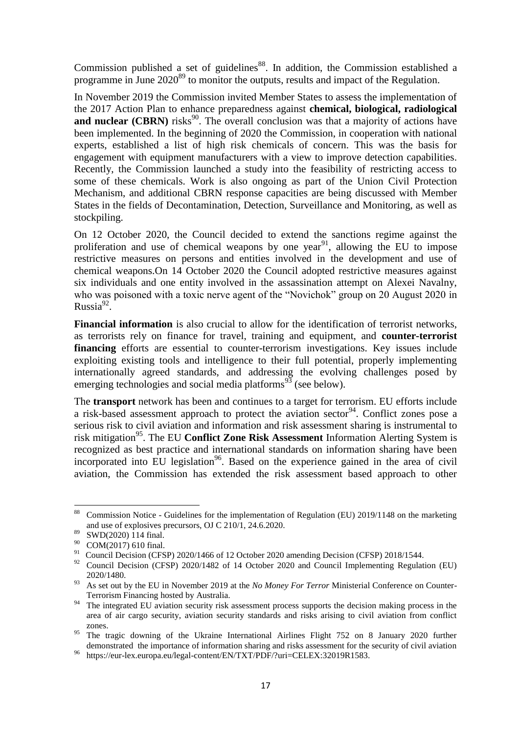Commission published a set of guidelines<sup>88</sup>. In addition, the Commission established a programme in June 2020<sup>89</sup> to monitor the outputs, results and impact of the Regulation.

In November 2019 the Commission invited Member States to assess the implementation of the 2017 Action Plan to enhance preparedness against **chemical, biological, radiological and nuclear (CBRN)** risks<sup>90</sup>. The overall conclusion was that a majority of actions have been implemented. In the beginning of 2020 the Commission, in cooperation with national experts, established a list of high risk chemicals of concern. This was the basis for engagement with equipment manufacturers with a view to improve detection capabilities. Recently, the Commission launched a study into the feasibility of restricting access to some of these chemicals. Work is also ongoing as part of the Union Civil Protection Mechanism, and additional CBRN response capacities are being discussed with Member States in the fields of Decontamination, Detection, Surveillance and Monitoring, as well as stockpiling.

On 12 October 2020, the Council decided to extend the sanctions regime against the proliferation and use of chemical weapons by one year<sup>91</sup>, allowing the EU to impose restrictive measures on persons and entities involved in the development and use of chemical weapons.On 14 October 2020 the Council adopted restrictive measures against six individuals and one entity involved in the assassination attempt on Alexei Navalny, who was poisoned with a toxic nerve agent of the "Novichok" group on 20 August 2020 in  $Russia<sup>92</sup>$ .

**Financial information** is also crucial to allow for the identification of terrorist networks, as terrorists rely on finance for travel, training and equipment, and **counter-terrorist financing** efforts are essential to counter-terrorism investigations. Key issues include exploiting existing tools and intelligence to their full potential, properly implementing internationally agreed standards, and addressing the evolving challenges posed by emerging technologies and social media platforms<sup>93</sup> (see below).

The **transport** network has been and continues to a target for terrorism. EU efforts include a risk-based assessment approach to protect the aviation sector  $94$ . Conflict zones pose a serious risk to civil aviation and information and risk assessment sharing is instrumental to risk mitigation<sup>95</sup>. The EU **Conflict Zone Risk Assessment** Information Alerting System is recognized as best practice and international standards on information sharing have been incorporated into EU legislation<sup>96</sup>. Based on the experience gained in the area of civil aviation, the Commission has extended the risk assessment based approach to other

<sup>88</sup> <sup>88</sup> Commission Notice - Guidelines for the implementation of Regulation (EU) 2019/1148 on the marketing and use of explosives precursors, OJ C 210/1, 24.6.2020.

 $89$  SWD(2020) 114 final.

<sup>&</sup>lt;sup>90</sup> COM(2017) 610 final.

<sup>91</sup> Council Decision (CFSP) 2020/1466 of 12 October 2020 amending Decision (CFSP) 2018/1544.

 $92$  Council Decision (CFSP) 2020/1482 of 14 October 2020 and Council Implementing Regulation (EU) 2020/1480.

<sup>93</sup> As set out by the EU in November 2019 at the *No Money For Terror* Ministerial Conference on Counter-Terrorism Financing hosted by Australia.

<sup>&</sup>lt;sup>94</sup> The integrated EU aviation security risk assessment process supports the decision making process in the area of air cargo security, aviation security standards and risks arising to civil aviation from conflict zones.

<sup>&</sup>lt;sup>95</sup> The tragic downing of the Ukraine International Airlines Flight 752 on 8 January 2020 further demonstrated the importance of information sharing and risks assessment for the security of civil aviation

https://eur-lex.europa.eu/legal-content/EN/TXT/PDF/?uri=CELEX:32019R1583.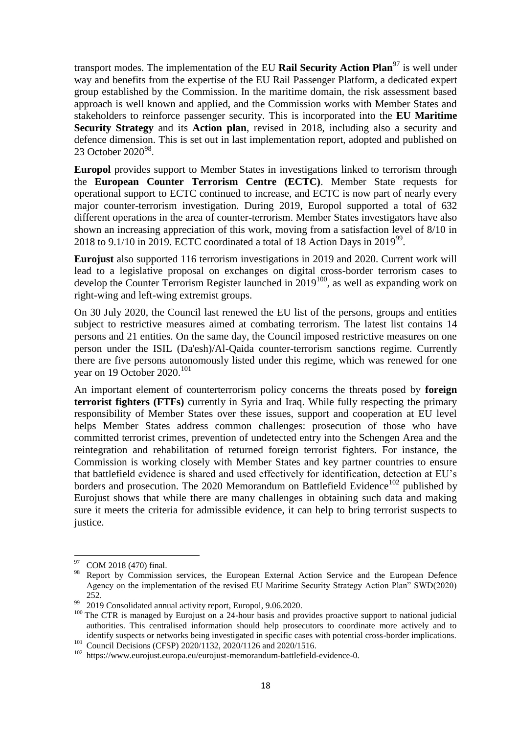transport modes. The implementation of the EU **Rail Security Action Plan**<sup>97</sup> is well under way and benefits from the expertise of the EU Rail Passenger Platform, a dedicated expert group established by the Commission. In the maritime domain, the risk assessment based approach is well known and applied, and the Commission works with Member States and stakeholders to reinforce passenger security. This is incorporated into the **EU Maritime Security Strategy** and its **Action plan**, revised in 2018, including also a security and defence dimension. This is set out in last implementation report, adopted and published on 23 October 2020<sup>98</sup>.

**Europol** provides support to Member States in investigations linked to terrorism through the **European Counter Terrorism Centre (ECTC)**. Member State requests for operational support to ECTC continued to increase, and ECTC is now part of nearly every major counter-terrorism investigation. During 2019, Europol supported a total of 632 different operations in the area of counter-terrorism. Member States investigators have also shown an increasing appreciation of this work, moving from a satisfaction level of 8/10 in 2018 to 9.1/10 in 2019. ECTC coordinated a total of 18 Action Days in 2019<sup>99</sup>.

**Eurojust** also supported 116 terrorism investigations in 2019 and 2020. Current work will lead to a legislative proposal on exchanges on digital cross-border terrorism cases to develop the Counter Terrorism Register launched in 2019<sup>100</sup>, as well as expanding work on right-wing and left-wing extremist groups.

On 30 July 2020, the Council last renewed the EU list of the persons, groups and entities subject to restrictive measures aimed at combating terrorism. The latest list contains 14 persons and 21 entities. On the same day, the Council imposed restrictive measures on one person under the ISIL (Da'esh)/Al-Qaida counter-terrorism sanctions regime. Currently there are five persons autonomously listed under this regime, which was renewed for one year on 19 October 2020.<sup>101</sup>

An important element of counterterrorism policy concerns the threats posed by **foreign terrorist fighters (FTFs)** currently in Syria and Iraq. While fully respecting the primary responsibility of Member States over these issues, support and cooperation at EU level helps Member States address common challenges: prosecution of those who have committed terrorist crimes, prevention of undetected entry into the Schengen Area and the reintegration and rehabilitation of returned foreign terrorist fighters. For instance, the Commission is working closely with Member States and key partner countries to ensure that battlefield evidence is shared and used effectively for identification, detection at EU's borders and prosecution. The [2020 Memorandum on Battlefield Evidence](http://www.eurojust.europa.eu/press/Documents/2020-09-14-Eurojust-Memorandum-on-Battlefield-Evidence.pdf)<sup>102</sup> published by Eurojust shows that while there are many challenges in obtaining such data and making sure it meets the criteria for admissible evidence, it can help to bring terrorist suspects to justice.

**<sup>.</sup>** COM 2018 (470) final.

<sup>98</sup> Report by Commission services, the European External Action Service and the European Defence Agency on the implementation of the revised EU Maritime Security Strategy Action Plan" SWD(2020) 252.

<sup>99</sup> 2019 Consolidated annual activity report, Europol, 9.06.2020.

<sup>&</sup>lt;sup>100</sup> The CTR is managed by Eurojust on a 24-hour basis and provides proactive support to national judicial authorities. This centralised information should help prosecutors to coordinate more actively and to identify suspects or networks being investigated in specific cases with potential cross-border implications. 101 Council Decisions (CFSP) 2020/1132, 2020/1126 and 2020/1516.

<sup>102</sup> https://www.eurojust.europa.eu/eurojust-memorandum-battlefield-evidence-0.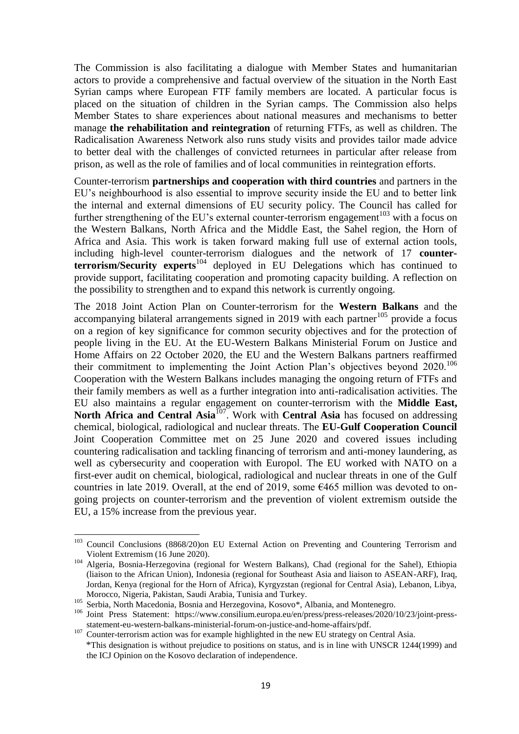The Commission is also facilitating a dialogue with Member States and humanitarian actors to provide a comprehensive and factual overview of the situation in the North East Syrian camps where European FTF family members are located. A particular focus is placed on the situation of children in the Syrian camps. The Commission also helps Member States to share experiences about national measures and mechanisms to better manage **the rehabilitation and reintegration** of returning FTFs, as well as children. The Radicalisation Awareness Network also runs study visits and provides tailor made advice to better deal with the challenges of convicted returnees in particular after release from prison, as well as the role of families and of local communities in reintegration efforts.

Counter-terrorism **partnerships and cooperation with third countries** and partners in the EU's neighbourhood is also essential to improve security inside the EU and to better link the internal and external dimensions of EU security policy. The Council has called for further strengthening of the EU's external counter-terrorism engagement<sup>103</sup> with a focus on the Western Balkans, North Africa and the Middle East, the Sahel region, the Horn of Africa and Asia. This work is taken forward making full use of external action tools, including high-level counter-terrorism dialogues and the network of 17 **counterterrorism/Security experts**<sup>104</sup> deployed in EU Delegations which has continued to provide support, facilitating cooperation and promoting capacity building. A reflection on the possibility to strengthen and to expand this network is currently ongoing.

The 2018 Joint Action Plan on Counter-terrorism for the **Western Balkans** and the accompanying bilateral arrangements signed in 2019 with each partner<sup>105</sup> provide a focus on a region of key significance for common security objectives and for the protection of people living in the EU. At the EU-Western Balkans Ministerial Forum on Justice and Home Affairs on 22 October 2020, the EU and the Western Balkans partners reaffirmed their commitment to implementing the Joint Action Plan's objectives beyond  $2020$ .<sup>106</sup> Cooperation with the Western Balkans includes managing the ongoing return of FTFs and their family members as well as a further integration into anti-radicalisation activities. The EU also maintains a regular engagement on counter-terrorism with the **Middle East,**  North Africa and Central Asia<sup>107</sup>. Work with Central Asia has focused on addressing chemical, biological, radiological and nuclear threats. The **EU-Gulf Cooperation Council** Joint Cooperation Committee met on 25 June 2020 and covered issues including countering radicalisation and tackling financing of terrorism and anti-money laundering, as well as cybersecurity and cooperation with Europol. The EU worked with NATO on a first-ever audit on chemical, biological, radiological and nuclear threats in one of the Gulf countries in late 2019. Overall, at the end of 2019, some €465 million was devoted to ongoing projects on counter-terrorism and the prevention of violent extremism outside the EU, a 15% increase from the previous year.

<sup>&</sup>lt;sup>103</sup> Council Conclusions (8868/20)on EU External Action on Preventing and Countering Terrorism and Violent Extremism (16 June 2020).

<sup>104</sup> Algeria, Bosnia-Herzegovina (regional for Western Balkans), Chad (regional for the Sahel), Ethiopia (liaison to the African Union), Indonesia (regional for Southeast Asia and liaison to ASEAN-ARF), Iraq, Jordan, Kenya (regional for the Horn of Africa), Kyrgyzstan (regional for Central Asia), Lebanon, Libya, Morocco, Nigeria, Pakistan, Saudi Arabia, Tunisia and Turkey.

<sup>105</sup> Serbia, North Macedonia, Bosnia and Herzegovina, Kosovo\*, Albania, and Montenegro.

<sup>106</sup> Joint Press Statement: [https://www.consilium.europa.eu/en/press/press-releases/2020/10/23/joint-press](https://www.consilium.europa.eu/en/press/press-releases/2020/10/23/joint-press-)statement-eu-western-balkans-ministerial-forum-on-justice-and-home-affairs/pdf.

<sup>&</sup>lt;sup>107</sup> Counter-terrorism action was for example highlighted in the new EU strategy on Central Asia. \*This designation is without prejudice to positions on status, and is in line with UNSCR 1244(1999) and the ICJ Opinion on the Kosovo declaration of independence.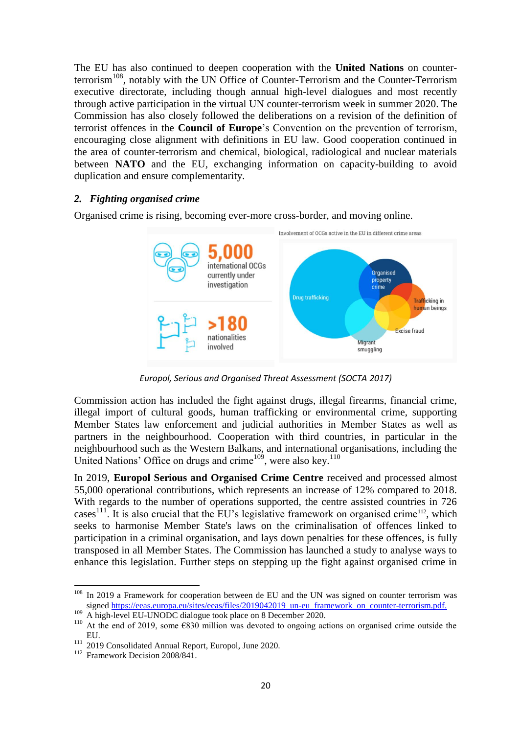The EU has also continued to deepen cooperation with the **United Nations** on counterterrorism<sup>108</sup>, notably with the UN Office of Counter-Terrorism and the Counter-Terrorism executive directorate, including though annual high-level dialogues and most recently through active participation in the virtual UN counter-terrorism week in summer 2020. The Commission has also closely followed the deliberations on a revision of the definition of terrorist offences in the **Council of Europe**'s Convention on the prevention of terrorism, encouraging close alignment with definitions in EU law. Good cooperation continued in the area of counter-terrorism and chemical, biological, radiological and nuclear materials between **NATO** and the EU, exchanging information on capacity-building to avoid duplication and ensure complementarity.

# *2. Fighting organised crime*

Organised crime is rising, becoming ever-more cross-border, and moving online.



*Europol, Serious and Organised Threat Assessment (SOCTA 2017)*

Commission action has included the fight against drugs, illegal firearms, financial crime, illegal import of cultural goods, human trafficking or environmental crime, supporting Member States law enforcement and judicial authorities in Member States as well as partners in the neighbourhood. Cooperation with third countries, in particular in the neighbourhood such as the Western Balkans, and international organisations, including the United Nations' Office on drugs and crime<sup>109</sup>, were also key.<sup>110</sup>

In 2019, **Europol Serious and Organised Crime Centre** received and processed almost 55,000 operational contributions, which represents an increase of 12% compared to 2018. With regards to the number of operations supported, the centre assisted countries in 726 cases<sup>111</sup>. It is also crucial that the EU's legislative framework on organised crime<sup>112</sup>, which seeks to harmonise Member State's laws on the criminalisation of offences linked to participation in a criminal organisation, and lays down penalties for these offences, is fully transposed in all Member States. The Commission has launched a study to analyse ways to enhance this legislation. Further steps on stepping up the fight against organised crime in

<sup>&</sup>lt;sup>108</sup> In 2019 a Framework for cooperation between de EU and the UN was signed on counter terrorism was signed [https://eeas.europa.eu/sites/eeas/files/2019042019\\_un-eu\\_framework\\_on\\_counter-terrorism.pdf.](https://eeas.europa.eu/sites/eeas/files/2019042019_un-eu_framework_on_counter-terrorism.pdf)

<sup>109</sup> A high-level EU-UNODC dialogue took place on 8 December 2020.

<sup>&</sup>lt;sup>110</sup> At the end of 2019, some  $\epsilon$ 830 million was devoted to ongoing actions on organised crime outside the EU.

<sup>111</sup> 2019 Consolidated Annual Report, Europol, June 2020.

<sup>&</sup>lt;sup>112</sup> Framework Decision 2008/841.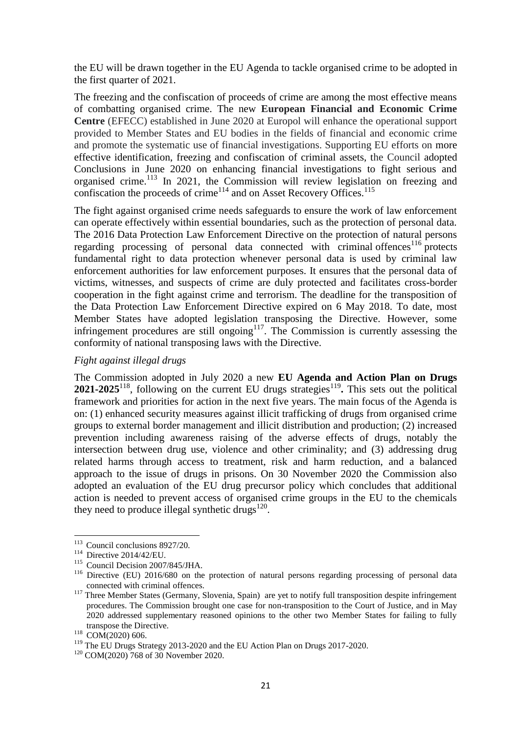the EU will be drawn together in the EU Agenda to tackle organised crime to be adopted in the first quarter of 2021.

The freezing and the confiscation of proceeds of crime are among the most effective means of combatting organised crime. The new **European Financial and Economic Crime Centre** (EFECC) established in June 2020 at Europol will enhance the operational support provided to Member States and EU bodies in the fields of financial and economic crime and promote the systematic use of financial investigations. Supporting EU efforts on more effective identification, freezing and confiscation of criminal assets, the Council adopted Conclusions in June 2020 on enhancing financial investigations to fight serious and organised crime.<sup>113</sup> In 2021, the Commission will review legislation on freezing and confiscation the proceeds of crime<sup>114</sup> and on Asset Recovery Offices.<sup>115</sup>

The fight against organised crime needs safeguards to ensure the work of law enforcement can operate effectively within essential boundaries, such as the protection of personal data. The 2016 Data Protection Law Enforcement Directive on the protection of natural persons regarding processing of personal data connected with criminal offences<sup>116</sup> protects fundamental right to data protection whenever personal data is used by criminal law enforcement authorities for law enforcement purposes. It ensures that the personal data of victims, witnesses, and suspects of crime are duly protected and facilitates cross-border cooperation in the fight against crime and terrorism. The deadline for the transposition of the Data Protection Law Enforcement Directive expired on 6 May 2018. To date, most Member States have adopted legislation transposing the Directive. However, some infringement procedures are still ongoing<sup>117</sup>. The Commission is currently assessing the conformity of national transposing laws with the Directive.

### *Fight against illegal drugs*

The Commission adopted in July 2020 a new **EU Agenda and Action Plan on Drugs**  2021-2025<sup>118</sup>, following on the current EU drugs strategies<sup>119</sup>. This sets out the political framework and priorities for action in the next five years. The main focus of the Agenda is on: (1) enhanced security measures against illicit trafficking of drugs from organised crime groups to external border management and illicit distribution and production; (2) increased prevention including awareness raising of the adverse effects of drugs, notably the intersection between drug use, violence and other criminality; and (3) addressing drug related harms through access to treatment, risk and harm reduction, and a balanced approach to the issue of drugs in prisons. On 30 November 2020 the Commission also adopted an evaluation of the EU drug precursor policy which concludes that additional action is needed to prevent access of organised crime groups in the EU to the chemicals they need to produce illegal synthetic drugs $^{120}$ .

<sup>&</sup>lt;sup>113</sup> Council conclusions 8927/20.

<sup>114</sup> Directive 2014/42/EU.

<sup>115</sup> Council Decision 2007/845/JHA.

<sup>&</sup>lt;sup>116</sup> [Directive \(EU\) 2016/680](http://eur-lex.europa.eu/legal-content/EN/TXT/?uri=uriserv%3AOJ.L_.2016.119.01.0089.01.ENG&toc=OJ%3AL%3A2016%3A119%3ATOC) on the protection of natural persons regarding processing of personal data connected with criminal offences.

<sup>&</sup>lt;sup>117</sup> Three Member States (Germany, Slovenia, Spain) are yet to notify full transposition despite infringement procedures. The Commission brought one case for non-transposition to the Court of Justice, and in May 2020 addressed supplementary reasoned opinions to the other two Member States for failing to fully transpose the Directive.

<sup>118</sup> COM(2020) 606.

<sup>&</sup>lt;sup>119</sup> The EU Drugs Strategy 2013-2020 and the EU Action Plan on Drugs 2017-2020.

<sup>&</sup>lt;sup>120</sup> COM(2020) 768 of 30 November 2020.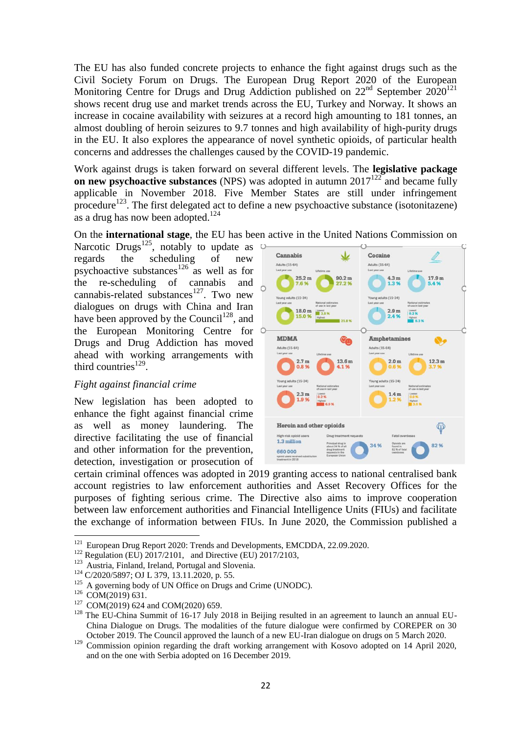The EU has also funded concrete projects to enhance the fight against drugs such as the Civil Society Forum on Drugs. The European Drug Report 2020 of the European Monitoring Centre for Drugs and Drug Addiction published on 22<sup>nd</sup> September 2020<sup>121</sup> shows recent drug use and market trends across the EU, Turkey and Norway. It shows an increase in cocaine availability with seizures at a record high amounting to 181 tonnes, an almost doubling of heroin seizures to 9.7 tonnes and high availability of high-purity drugs in the EU. It also explores the appearance of novel synthetic opioids, of particular health concerns and addresses the challenges caused by the COVID-19 pandemic.

Work against drugs is taken forward on several different levels. The **legislative package on new psychoactive substances** (NPS) was adopted in autumn  $2017^{122}$  and became fully applicable in November 2018. Five Member States are still under infringement procedure<sup>123</sup>. The first delegated act to define a new psychoactive substance (isotonitazene) as a drug has now been adopted.<sup>124</sup>

On the **international stage**, the EU has been active in the United Nations Commission on

Narcotic Drugs<sup>125</sup>, notably to update as regards the scheduling of new psychoactive substances<sup>126</sup> as well as for the re-scheduling of cannabis and cannabis-related substances<sup>127</sup>. Two new dialogues on drugs with China and Iran have been approved by the Council<sup>128</sup>, and the European Monitoring Centre for Drugs and Drug Addiction has moved ahead with working arrangements with third countries $^{129}$ .

# *Fight against financial crime*

New legislation has been adopted to enhance the fight against financial crime as well as money laundering. The directive facilitating the use of financial and other information for the prevention, detection, investigation or prosecution of



certain criminal offences was adopted in 2019 granting access to national centralised bank account registries to law enforcement authorities and Asset Recovery Offices for the purposes of fighting serious crime. The Directive also aims to improve cooperation between law enforcement authorities and Financial Intelligence Units (FIUs) and facilitate the exchange of information between FIUs. In June 2020, the Commission published a

<sup>&</sup>lt;sup>121</sup> European Drug Report 2020: Trends and Developments, EMCDDA, 22.09.2020.

<sup>&</sup>lt;sup>122</sup> Regulation (EU)  $2017/2101$ , and Directive (EU) 2017/2103,

<sup>&</sup>lt;sup>123</sup> Austria, Finland, Ireland, Portugal and Slovenia.

<sup>124</sup> C/2020/5897; OJ L 379, 13.11.2020, p. 55.

 $125$  A governing body of UN Office on Drugs and Crime (UNODC).

 $126$  COM(2019) 631.

<sup>&</sup>lt;sup>127</sup> COM(2019) 624 and COM(2020) 659.

<sup>&</sup>lt;sup>128</sup> The EU-China Summit of 16-17 July 2018 in Beijing resulted in an agreement to launch an annual EU-China Dialogue on Drugs. The modalities of the future dialogue were confirmed by COREPER on 30 October 2019. The Council approved the launch of a new EU-Iran dialogue on drugs on 5 March 2020.

<sup>&</sup>lt;sup>129</sup> Commission opinion regarding the draft working arrangement with Kosovo adopted on 14 April 2020, and on the one with Serbia adopted on 16 December 2019.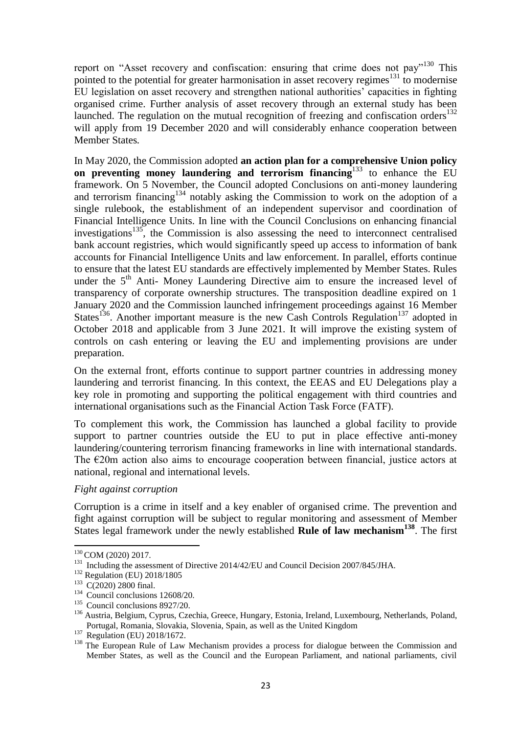report on "Asset recovery and confiscation: ensuring that crime does not pay"<sup>130</sup> This pointed to the potential for greater harmonisation in asset recovery regimes<sup>131</sup> to modernise EU legislation on asset recovery and strengthen national authorities' capacities in fighting organised crime. Further analysis of asset recovery through an external study has been launched. The regulation on the mutual recognition of freezing and confiscation orders $^{132}$ will apply from 19 December 2020 and will considerably enhance cooperation between Member States*.*

In May 2020, the Commission adopted **an action plan for a comprehensive Union policy on preventing money laundering and terrorism financing**<sup>133</sup> to enhance the EU framework. On 5 November, the Council adopted Conclusions on anti-money laundering and terrorism financing<sup>134</sup> notably asking the Commission to work on the adoption of a single rulebook, the establishment of an independent supervisor and coordination of Financial Intelligence Units. In line with the Council Conclusions on enhancing financial investigations<sup>135</sup>, the Commission is also assessing the need to interconnect centralised bank account registries, which would significantly speed up access to information of bank accounts for Financial Intelligence Units and law enforcement. In parallel, efforts continue to ensure that the latest EU standards are effectively implemented by Member States. Rules under the  $5<sup>th</sup>$  Anti- Money Laundering Directive aim to ensure the increased level of transparency of corporate ownership structures. The transposition deadline expired on 1 January 2020 and the Commission launched infringement proceedings against 16 Member States<sup>136</sup>. Another important measure is the new Cash Controls Regulation<sup>137</sup> adopted in October 2018 and applicable from 3 June 2021. It will improve the existing system of controls on cash entering or leaving the EU and implementing provisions are under preparation.

On the external front, efforts continue to support partner countries in addressing money laundering and terrorist financing. In this context, the EEAS and EU Delegations play a key role in promoting and supporting the political engagement with third countries and international organisations such as the Financial Action Task Force (FATF).

To complement this work, the Commission has launched a global facility to provide support to partner countries outside the EU to put in place effective anti-money laundering/countering terrorism financing frameworks in line with international standards. The €20m action also aims to encourage cooperation between financial, justice actors at national, regional and international levels.

# *Fight against corruption*

Corruption is a crime in itself and a key enabler of organised crime. The prevention and fight against corruption will be subject to regular monitoring and assessment of Member States legal framework under the newly established **Rule of law mechanism<sup>138</sup>**. The [first](https://ec.europa.eu/info/publications/2020-rule-law-report-communication-and-country-chapters_en) 

<sup>&</sup>lt;sup>130</sup> COM (2020) 2017.

<sup>&</sup>lt;sup>131</sup> Including the assessment of Directive 2014/42/EU and Council Decision 2007/845/JHA.

<sup>&</sup>lt;sup>132</sup> Regulation (EU) 2018/1805

<sup>&</sup>lt;sup>133</sup> C(2020) 2800 final.

 $134$  Council conclusions 12608/20.

<sup>&</sup>lt;sup>135</sup> Council conclusions 8927/20.

<sup>136</sup> Austria, Belgium, Cyprus, Czechia, Greece, Hungary, Estonia, Ireland, Luxembourg, Netherlands, Poland, Portugal, Romania, Slovakia, Slovenia, Spain, as well as the United Kingdom

<sup>&</sup>lt;sup>137</sup> [Regulation \(EU\) 2018/1672.](https://eur-lex.europa.eu/legal-content/EN/TXT/PDF/?uri=CELEX:32018R1672)

<sup>&</sup>lt;sup>138</sup> The European Rule of Law Mechanism provides a process for dialogue between the Commission and Member States, as well as the Council and the European Parliament, and national parliaments, civil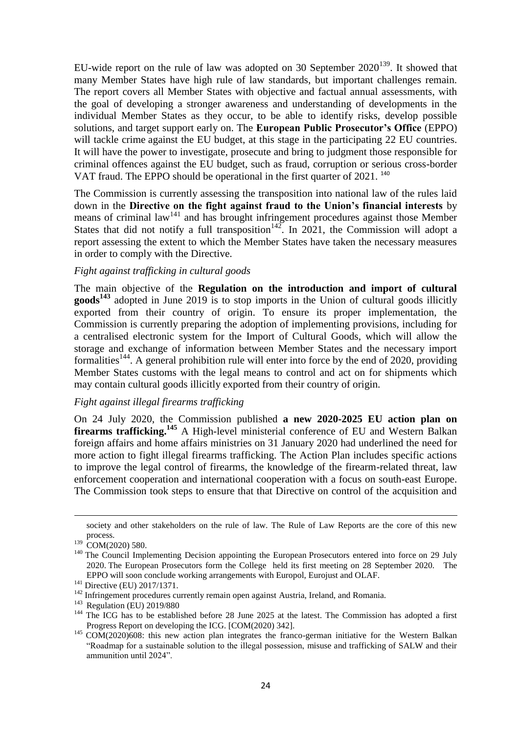[EU-wide report on the rule of law](https://ec.europa.eu/info/publications/2020-rule-law-report-communication-and-country-chapters_en) was adopted on 30 September  $2020^{139}$ . It showed that many Member States have high rule of law standards, but important challenges remain. The report covers all Member States with objective and factual annual assessments, with the goal of developing a stronger awareness and understanding of developments in the individual Member States as they occur, to be able to identify risks, develop possible solutions, and target support early on. The **European Public Prosecutor's Office** (EPPO) will tackle crime against the EU budget, at this stage in the participating 22 EU countries. It will have the power to investigate, prosecute and bring to judgment those responsible for criminal offences against the EU budget, such as fraud, corruption or serious cross-border VAT fraud. The EPPO should be operational in the first quarter of 2021.<sup>140</sup>

The Commission is currently assessing the transposition into national law of the rules laid down in the **Directive on the fight against fraud to the Union's financial interests** by means of criminal  $law<sup>141</sup>$  and has brought infringement procedures against those Member States that did not notify a full transposition<sup>142</sup>. In 2021, the Commission will adopt a report assessing the extent to which the Member States have taken the necessary measures in order to comply with the Directive.

### *Fight against trafficking in cultural goods*

The main objective of the **Regulation on the introduction and import of cultural goods<sup>143</sup>** adopted in June 2019 is to stop imports in the Union of cultural goods illicitly exported from their country of origin. To ensure its proper implementation, the Commission is currently preparing the adoption of implementing provisions, including for a centralised electronic system for the Import of Cultural Goods, which will allow the storage and exchange of information between Member States and the necessary import formalities<sup>144</sup>. A general prohibition rule will enter into force by the end of 2020, providing Member States customs with the legal means to control and act on for shipments which may contain cultural goods illicitly exported from their country of origin.

# *Fight against illegal firearms trafficking*

On 24 July 2020, the Commission published **a new 2020-2025 EU action plan on firearms trafficking.**<sup>145</sup> A High-level ministerial conference of EU and Western Balkan foreign affairs and home affairs ministries on 31 January 2020 had underlined the need for more action to fight illegal firearms trafficking. The Action Plan includes specific actions to improve the legal control of firearms, the knowledge of the firearm-related threat, law enforcement cooperation and international cooperation with a focus on south-east Europe. The Commission took steps to ensure that that Directive on control of the acquisition and

society and other stakeholders on the rule of law. The Rule of Law Reports are the core of this new process.

<sup>&</sup>lt;sup>139</sup> COM(2020) 580.

<sup>&</sup>lt;sup>140</sup> The Council Implementing Decision appointing the European Prosecutors entered into force on 29 July 2020. The European Prosecutors form the College held its first meeting on 28 September 2020. The EPPO will soon conclude working arrangements with Europol, Eurojust and OLAF.

<sup>&</sup>lt;sup>141</sup> Directive (EU) 2017/1371.

<sup>&</sup>lt;sup>142</sup> Infringement procedures currently remain open against Austria, Ireland, and Romania.

<sup>&</sup>lt;sup>143</sup> Regulation (EU) 2019/880

<sup>&</sup>lt;sup>144</sup> The ICG has to be established before 28 June 2025 at the latest. The Commission has adopted a first Progress Report on developing the ICG. [COM(2020) 342].

<sup>&</sup>lt;sup>145</sup> COM(2020)608: this new action plan integrates the franco-german initiative for the Western Balkan "Roadmap for a sustainable solution to the illegal possession, misuse and trafficking of SALW and their ammunition until 2024".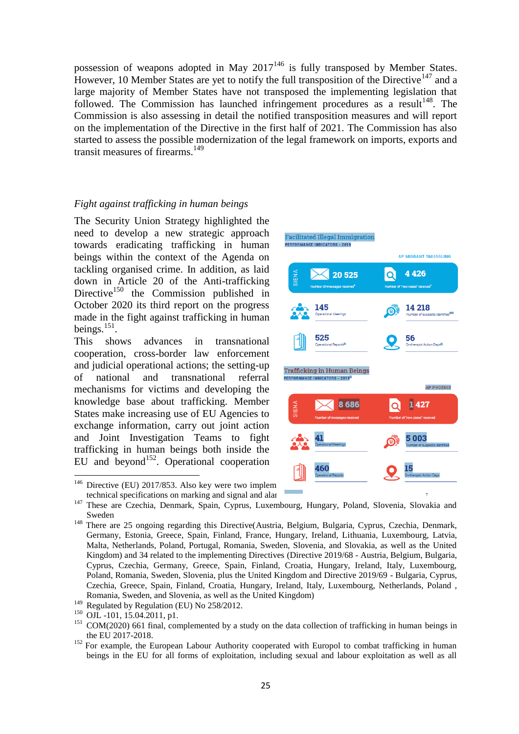possession of weapons adopted in May  $2017^{146}$  is fully transposed by Member States. However, 10 Member States are yet to notify the full transposition of the Directive<sup>147</sup> and a large majority of Member States have not transposed the implementing legislation that followed. The Commission has launched infringement procedures as a result<sup>148</sup>. The Commission is also assessing in detail the notified transposition measures and will report on the implementation of the Directive in the first half of 2021. The Commission has also started to assess the possible modernization of the legal framework on imports, exports and transit measures of firearms.<sup>149</sup>

### *Fight against trafficking in human beings*

The Security Union Strategy highlighted the need to develop a new strategic approach towards eradicating trafficking in human beings within the context of the Agenda on tackling organised crime. In addition, as laid down in Article 20 of the Anti-trafficking Directive<sup>150</sup> the Commission published in October 2020 its third report on the progress made in the fight against trafficking in human beings. $^{151}$ .

This shows advances in transnational cooperation, cross-border law enforcement and judicial operational actions; the setting-up of national and transnational referral mechanisms for victims and developing the knowledge base about trafficking. Member States make increasing use of EU Agencies to exchange information, carry out joint action and Joint Investigation Teams to fight trafficking in human beings both inside the EU and beyond<sup>152</sup>. Operational cooperation



technical specifications on marking and signal and alar

 $\overline{a}$ 

<sup>152</sup> For example, the European Labour Authority cooperated with Europol to combat trafficking in human beings in the EU for all forms of exploitation, including sexual and labour exploitation as well as all

<sup>&</sup>lt;sup>147</sup> These are Czechia, Denmark, Spain, Cyprus, Luxembourg, Hungary, Poland, Slovenia, Slovakia and Sweden

<sup>&</sup>lt;sup>148</sup> There are 25 ongoing regarding this Directive(Austria, Belgium, Bulgaria, Cyprus, Czechia, Denmark, Germany, Estonia, Greece, Spain, Finland, France, Hungary, Ireland, Lithuania, Luxembourg, Latvia, Malta, Netherlands, Poland, Portugal, Romania, Sweden, Slovenia, and Slovakia, as well as the United Kingdom) and 34 related to the implementing Directives (Directive 2019/68 - Austria, Belgium, Bulgaria, Cyprus, Czechia, Germany, Greece, Spain, Finland, Croatia, Hungary, Ireland, Italy, Luxembourg, Poland, Romania, Sweden, Slovenia, plus the United Kingdom and Directive 2019/69 - Bulgaria, Cyprus, Czechia, Greece, Spain, Finland, Croatia, Hungary, Ireland, Italy, Luxembourg, Netherlands, Poland , Romania, Sweden, and Slovenia, as well as the United Kingdom)

<sup>&</sup>lt;sup>149</sup> Regulated by Regulation (EU) No 258/2012.

 $^{150}$  OJL -101, 15.04.2011, p1.

 $151$  COM(2020) 661 final, complemented by a study on the data collection of trafficking in human beings in the EU 2017-2018.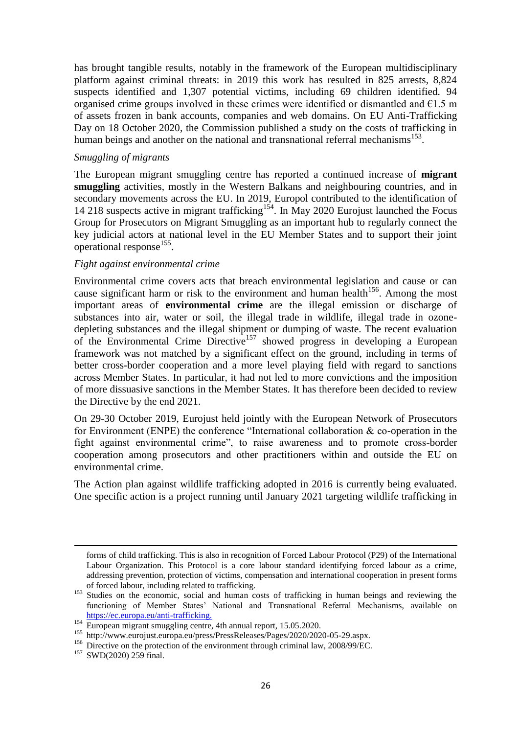has brought tangible results, notably in the framework of the European multidisciplinary platform against criminal threats: in 2019 this work has resulted in 825 arrests, 8,824 suspects identified and 1,307 potential victims, including 69 children identified. 94 organised crime groups involved in these crimes were identified or dismantled and  $E1.5$  m of assets frozen in bank accounts, companies and web domains. On EU Anti-Trafficking Day on 18 October 2020, the Commission published a study on the costs of trafficking in human beings and another on the national and transnational referral mechanisms<sup>153</sup>.

### *Smuggling of migrants*

The European migrant smuggling centre has reported a continued increase of **migrant smuggling** activities, mostly in the Western Balkans and neighbouring countries, and in secondary movements across the EU. In 2019, Europol contributed to the identification of 14 218 suspects active in migrant trafficking<sup>154</sup>. In May 2020 Eurojust launched the Focus Group for Prosecutors on Migrant Smuggling as an important hub to regularly connect the key judicial actors at national level in the EU Member States and to support their joint operational response<sup>155</sup>.

### *Fight against environmental crime*

Environmental crime covers acts that breach environmental legislation and cause or can cause significant harm or risk to the environment and human health<sup>156</sup>. Among the most important areas of **environmental crime** are the illegal emission or discharge of substances into air, water or soil, the illegal trade in wildlife, illegal trade in ozonedepleting substances and the illegal shipment or dumping of waste. The recent evaluation of the Environmental Crime Directive<sup>157</sup> showed progress in developing a European framework was not matched by a significant effect on the ground, including in terms of better cross-border cooperation and a more level playing field with regard to sanctions across Member States. In particular, it had not led to more convictions and the imposition of more dissuasive sanctions in the Member States. It has therefore been decided to review the Directive by the end 2021.

On 29-30 October 2019, Eurojust held jointly with the European Network of Prosecutors for Environment (ENPE) the conference "International collaboration  $\&$  co-operation in the fight against environmental crime", to raise awareness and to promote cross-border cooperation among prosecutors and other practitioners within and outside the EU on environmental crime.

The Action plan against wildlife trafficking adopted in 2016 is currently being evaluated. One specific action is a project running until January 2021 targeting wildlife trafficking in

forms of child trafficking. This is also in recognition of Forced Labour Protocol (P29) of the International Labour Organization. This Protocol is a core labour standard identifying forced labour as a crime, addressing prevention, protection of victims, compensation and international cooperation in present forms of forced labour, including related to trafficking.

<sup>&</sup>lt;sup>153</sup> Studies on the economic, social and human costs of trafficking in human beings and reviewing the functioning of Member States' National and Transnational Referral Mechanisms, available on [https://ec.europa.eu/anti-trafficking.](https://ec.europa.eu/anti-trafficking)

<sup>&</sup>lt;sup>154</sup> European migrant smuggling centre, 4th annual report, 15.05.2020.

<sup>155</sup> http://www.eurojust.europa.eu/press/PressReleases/Pages/2020/2020-05-29.aspx.

<sup>&</sup>lt;sup>156</sup> Directive on the protection of the environment through criminal law, 2008/99/EC.

<sup>&</sup>lt;sup>157</sup> SWD(2020) 259 final.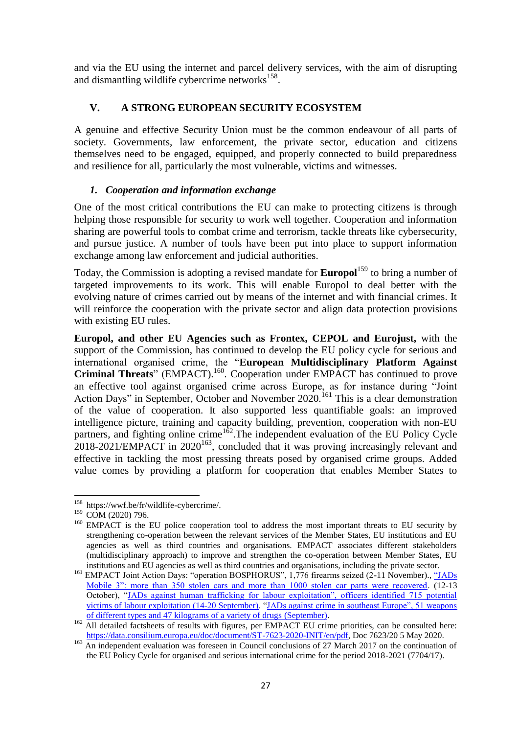and via the EU using the internet and parcel delivery services, with the aim of disrupting and dismantling wildlife cybercrime networks<sup>158</sup>.

# **V. A STRONG EUROPEAN SECURITY ECOSYSTEM**

A genuine and effective Security Union must be the common endeavour of all parts of society. Governments, law enforcement, the private sector, education and citizens themselves need to be engaged, equipped, and properly connected to build preparedness and resilience for all, particularly the most vulnerable, victims and witnesses.

# *1. Cooperation and information exchange*

One of the most critical contributions the EU can make to protecting citizens is through helping those responsible for security to work well together. Cooperation and information sharing are powerful tools to combat crime and terrorism, tackle threats like cybersecurity, and pursue justice. A number of tools have been put into place to support information exchange among law enforcement and judicial authorities.

Today, the Commission is adopting a revised mandate for **Europol**<sup>159</sup> to bring a number of targeted improvements to its work. This will enable Europol to deal better with the evolving nature of crimes carried out by means of the internet and with financial crimes. It will reinforce the cooperation with the private sector and align data protection provisions with existing EU rules.

**Europol, and other EU Agencies such as Frontex, CEPOL and Eurojust,** with the support of the Commission, has continued to develop the EU policy cycle for serious and international organised crime, the "**European Multidisciplinary Platform Against Criminal Threats**" [\(EMPACT\)](https://ec.europa.eu/home-affairs/what-we-do/policies/police-cooperation/operational-cooperation/empact_en).<sup>160</sup>. Cooperation under EMPACT has continued to prove an effective tool against organised crime across Europe, as for instance during "Joint Action Days" in September, October and November 2020.<sup>161</sup> This is a clear demonstration of the value of cooperation. It also supported less quantifiable goals: an improved intelligence picture, training and capacity building, prevention, cooperation with non-EU partners, and fighting online crime<sup>162</sup>. The independent evaluation of the EU Policy Cycle  $2018-2021/EMPACT$  in  $2020^{163}$ , concluded that it was proving increasingly relevant and effective in tackling the most pressing threats posed by organised crime groups. Added value comes by providing a platform for cooperation that enables Member States to

**<sup>.</sup>** <sup>158</sup> [https://wwf.be/fr/wildlife-cybercrime/.](https://wwf.be/fr/wildlife-cybercrime/)

<sup>&</sup>lt;sup>159</sup> COM (2020) 796.

<sup>&</sup>lt;sup>160</sup> EMPACT is the EU police cooperation tool to address the most important threats to EU security by strengthening co-operation between the relevant services of the Member States, EU institutions and EU agencies as well as third countries and organisations. EMPACT associates different stakeholders (multidisciplinary approach) to improve and strengthen the co-operation between Member States, EU institutions and EU agencies as well as third countries and organisations, including the private sector.

<sup>&</sup>lt;sup>161</sup> EMPACT Joint Action Days: "operation BOSPHORUS", 1,776 firearms seized (2-11 November)., "JADs [Mobile 3": more than 350 stolen cars and more than 1000 stolen car parts were recovered.](https://frontex.europa.eu/media-centre/news-release/frontex-leads-massive-international-operation-to-find-stolen-cars-and-car-parts-LVLRmE) (12-13 October), ["JADs against human trafficking for labour exploitation", officers identified 715 potential](https://www.europol.europa.eu/newsroom/news/officers-identify-715-potential-victims-of-labour-exploitation-in-two-pan-european-joint-action-days)  [victims of labour exploitation](https://www.europol.europa.eu/newsroom/news/officers-identify-715-potential-victims-of-labour-exploitation-in-two-pan-european-joint-action-days) (14-20 September). ["JADs against crime in southeast Europe", 51 weapons](https://www.europol.europa.eu/newsroom/news/166-arrested-in-international-crackdown-against-crime-in-southeast-europe)  [of different types and 47 kilograms of a variety of drugs](https://www.europol.europa.eu/newsroom/news/166-arrested-in-international-crackdown-against-crime-in-southeast-europe) (September).

<sup>&</sup>lt;sup>162</sup> All detailed factsheets of results with figures, per EMPACT EU crime priorities, can be consulted here: [https://data.consilium.europa.eu/doc/document/ST-7623-2020-INIT/en/pdf,](https://data.consilium.europa.eu/doc/document/ST-7623-2020-INIT/en/pdf) Doc 7623/20 5 May 2020.

<sup>&</sup>lt;sup>163</sup> An independent evaluation was foreseen in Council conclusions of 27 March 2017 on the continuation of the EU Policy Cycle for organised and serious international crime for the period 2018-2021 (7704/17).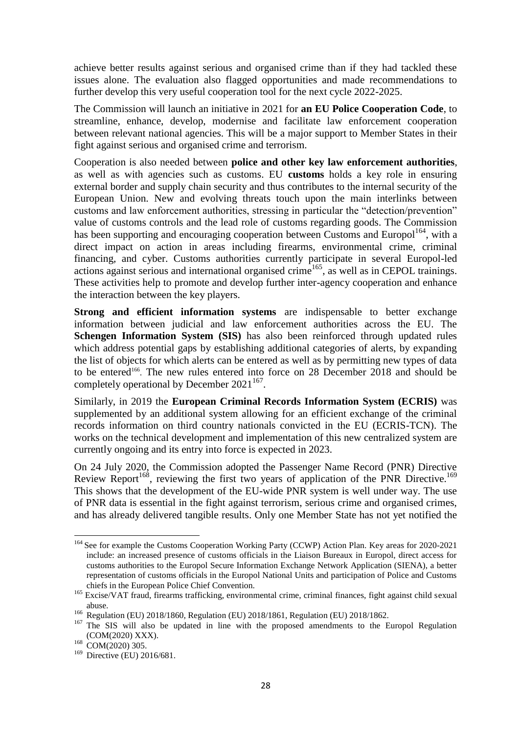achieve better results against serious and organised crime than if they had tackled these issues alone. The evaluation also flagged opportunities and made recommendations to further develop this very useful cooperation tool for the next cycle 2022-2025.

The Commission will launch an initiative in 2021 for **an EU Police Cooperation Code**, to streamline, enhance, develop, modernise and facilitate law enforcement cooperation between relevant national agencies. This will be a major support to Member States in their fight against serious and organised crime and terrorism.

Cooperation is also needed between **police and other key law enforcement authorities**, as well as with agencies such as customs. EU **customs** holds a key role in ensuring external border and supply chain security and thus contributes to the internal security of the European Union. New and evolving threats touch upon the main interlinks between customs and law enforcement authorities, stressing in particular the "detection/prevention" value of customs controls and the lead role of customs regarding goods. The Commission has been supporting and encouraging cooperation between Customs and Europol<sup>164</sup>, with a direct impact on action in areas including firearms, environmental crime, criminal financing, and cyber. Customs authorities currently participate in several Europol-led  $\frac{1}{2}$  actions against serious and international organised crime<sup>165</sup>, as well as in CEPOL trainings. These activities help to promote and develop further inter-agency cooperation and enhance the interaction between the key players.

**Strong and efficient information systems** are indispensable to better exchange information between judicial and law enforcement authorities across the EU. The **Schengen Information System (SIS)** has also been reinforced through updated rules which address potential gaps by establishing additional categories of alerts, by expanding the list of objects for which alerts can be entered as well as by permitting new types of data to be entered<sup>166</sup>. The new rules entered into force on 28 December 2018 and should be completely operational by December  $2021^{167}$ .

Similarly, in 2019 the **European Criminal Records Information System (ECRIS)** was supplemented by an additional system allowing for an efficient exchange of the criminal records information on third country nationals convicted in the EU (ECRIS-TCN). The works on the technical development and implementation of this new centralized system are currently ongoing and its entry into force is expected in 2023.

On 24 July 2020, the Commission adopted the Passenger Name Record (PNR) Directive Review Report<sup>168</sup>, reviewing the first two years of application of the PNR Directive.<sup>169</sup> This shows that the development of the EU-wide PNR system is well under way. The use of PNR data is essential in the fight against terrorism, serious crime and organised crimes, and has already delivered tangible results. Only one Member State has not yet notified the

<sup>&</sup>lt;sup>164</sup> See for example the Customs Cooperation Working Party (CCWP) Action Plan. Key areas for 2020-2021 include: an increased presence of customs officials in the Liaison Bureaux in Europol, direct access for customs authorities to the Europol Secure Information Exchange Network Application (SIENA), a better representation of customs officials in the Europol National Units and participation of Police and Customs chiefs in the European Police Chief Convention.

<sup>&</sup>lt;sup>165</sup> Excise/VAT fraud, firearms trafficking, environmental crime, criminal finances, fight against child sexual abuse.

<sup>166</sup> Regulation (EU) 2018/1860, Regulation (EU) 2018/1861, Regulation (EU) 2018/1862.

<sup>&</sup>lt;sup>167</sup> The SIS will also be updated in line with the proposed amendments to the Europol Regulation (COM(2020) XXX).

 $^{168}$  COM(2020) 305.

 $169$  Directive (EU) 2016/681.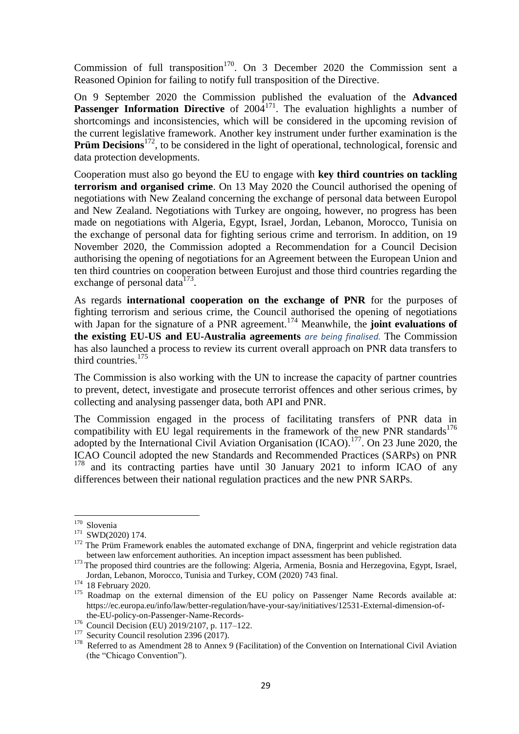Commission of full transposition<sup>170</sup>. On 3 December 2020 the Commission sent a Reasoned Opinion for failing to notify full transposition of the Directive.

On 9 September 2020 the Commission published the evaluation of the **Advanced Passenger Information Directive** of 2004<sup>171</sup>. The evaluation highlights a number of shortcomings and inconsistencies, which will be considered in the upcoming revision of the current legislative framework. Another key instrument under further examination is the **Prüm Decisions**<sup>172</sup>, to be considered in the light of operational, technological, forensic and data protection developments.

Cooperation must also go beyond the EU to engage with **key third countries on tackling terrorism and organised crime**. On 13 May 2020 the Council authorised the opening of negotiations with New Zealand concerning the exchange of personal data between Europol and New Zealand. Negotiations with Turkey are ongoing, however, no progress has been made on negotiations with Algeria, Egypt, Israel, Jordan, Lebanon, Morocco, Tunisia on the exchange of personal data for fighting serious crime and terrorism. In addition, on 19 November 2020, the Commission adopted a Recommendation for a Council Decision authorising the opening of negotiations for an Agreement between the European Union and ten third countries on cooperation between Eurojust and those third countries regarding the exchange of personal data $^{173}$ .

As regards **international cooperation on the exchange of PNR** for the purposes of fighting terrorism and serious crime, the Council authorised the opening of negotiations with Japan for the signature of a PNR agreement.<sup>174</sup> Meanwhile, the **joint evaluations of the existing EU-US and EU-Australia agreements** *are being finalised.* The Commission has also launched a process to review its current overall approach on PNR data transfers to third countries.<sup>175</sup>

The Commission is also working with the UN to increase the capacity of partner countries to prevent, detect, investigate and prosecute terrorist offences and other serious crimes, by collecting and analysing passenger data, both API and PNR.

The Commission engaged in the process of facilitating transfers of PNR data in compatibility with EU legal requirements in the framework of the new PNR standards<sup>176</sup> adopted by the International Civil Aviation Organisation (ICAO).<sup>177</sup>. On 23 June 2020, the ICAO Council adopted the new Standards and Recommended Practices (SARPs) on PNR <sup>178</sup> and its contracting parties have until 30 January 2021 to inform ICAO of any differences between their national regulation practices and the new PNR SARPs.

<sup>&</sup>lt;sup>170</sup> Slovenia

<sup>&</sup>lt;sup>171</sup> SWD(2020) 174.

<sup>&</sup>lt;sup>172</sup> The Prüm Framework enables the automated exchange of DNA, fingerprint and vehicle registration data between law enforcement authorities. An inception impact assessment has been published.

<sup>&</sup>lt;sup>173</sup> The proposed third countries are the following: Algeria, Armenia, Bosnia and Herzegovina, Egypt, Israel, Jordan, Lebanon, Morocco, Tunisia and Turkey, COM (2020) 743 final.

<sup>&</sup>lt;sup>174</sup> 18 February 2020.

<sup>&</sup>lt;sup>175</sup> Roadmap on the external dimension of the EU policy on Passenger Name Records available at: https://ec.europa.eu/info/law/better-regulation/have-your-say/initiatives/12531-External-dimension-ofthe-EU-policy-on-Passenger-Name-Records-

<sup>176</sup> Council Decision (EU) 2019/2107, p. 117–122.

<sup>&</sup>lt;sup>177</sup> Security Council resolution 2396 (2017).

<sup>&</sup>lt;sup>178</sup> Referred to as Amendment 28 to Annex 9 (Facilitation) of the Convention on International Civil Aviation (the "Chicago Convention").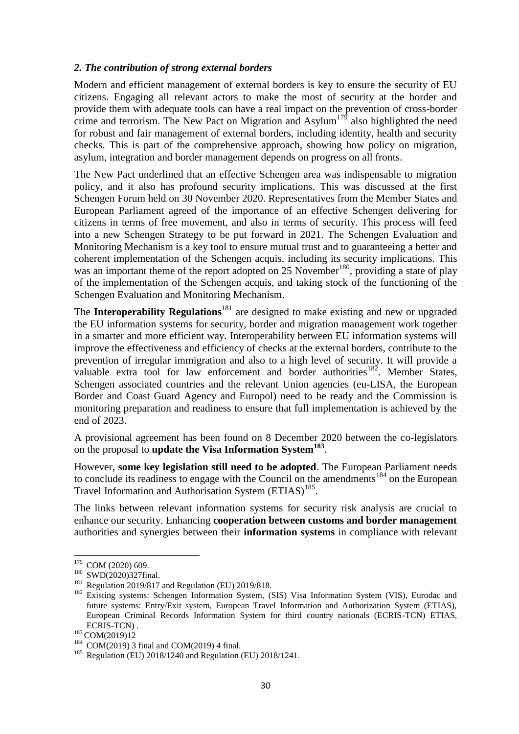### *2. The contribution of strong external borders*

Modern and efficient management of external borders is key to ensure the security of EU citizens. Engaging all relevant actors to make the most of security at the border and provide them with adequate tools can have a real impact on the prevention of cross-border crime and terrorism. The New Pact on Migration and Asylum<sup>179</sup> also highlighted the need for robust and fair management of external borders, including identity, health and security checks. This is part of the comprehensive approach, showing how policy on migration, asylum, integration and border management depends on progress on all fronts.

The New Pact underlined that an effective Schengen area was indispensable to migration policy, and it also has profound security implications. This was discussed at the first Schengen Forum held on 30 November 2020. Representatives from the Member States and European Parliament agreed of the importance of an effective Schengen delivering for citizens in terms of free movement, and also in terms of security. This process will feed into a new Schengen Strategy to be put forward in 2021. The Schengen Evaluation and Monitoring Mechanism is a key tool to ensure mutual trust and to guaranteeing a better and coherent implementation of the Schengen acquis, including its security implications. This was an important theme of the report adopted on 25 November<sup>180</sup>, providing a state of play of the implementation of the Schengen acquis, and taking stock of the functioning of the Schengen Evaluation and Monitoring Mechanism.

The **Interoperability Regulations**<sup>181</sup> are designed to make existing and new or upgraded the EU information systems for security, border and migration management work together in a smarter and more efficient way. Interoperability between EU information systems will improve the effectiveness and efficiency of checks at the external borders, contribute to the prevention of irregular immigration and also to a high level of security. It will provide a valuable extra tool for law enforcement and border authorities<sup>182</sup>. Member States, Schengen associated countries and the relevant Union agencies (eu-LISA, the European Border and Coast Guard Agency and Europol) need to be ready and the Commission is monitoring preparation and readiness to ensure that full implementation is achieved by the end of 2023.

A provisional agreement has been found on 8 December 2020 between the co-legislators on the proposal to **update the Visa Information System<sup>183</sup>** .

However, **some key legislation still need to be adopted**. The European Parliament needs to conclude its readiness to engage with the Council on the amendments<sup>184</sup> on the European Travel Information and Authorisation System (ETIAS)<sup>185</sup>.

The links between relevant information systems for security risk analysis are crucial to enhance our security. Enhancing **cooperation between customs and border management**  authorities and synergies between their **information systems** in compliance with relevant

**<sup>.</sup>** <sup>179</sup> COM (2020) 609.

<sup>&</sup>lt;sup>180</sup> SWD(2020)327final.

<sup>181</sup> Regulation 2019/817 and Regulation (EU) 2019/818.

<sup>&</sup>lt;sup>182</sup> Existing systems: Schengen Information System, (SIS) Visa Information System (VIS), Eurodac and future systems: Entry/Exit system, European Travel Information and Authorization System (ETIAS), European Criminal Records Information System for third country nationals (ECRIS-TCN) ETIAS, ECRIS-TCN) .

<sup>183</sup> COM(2019)12

 $184$  COM(2019) 3 final and COM(2019) 4 final.

<sup>&</sup>lt;sup>185</sup> Regulation (EU) 2018/1240 and Regulation (EU) 2018/1241.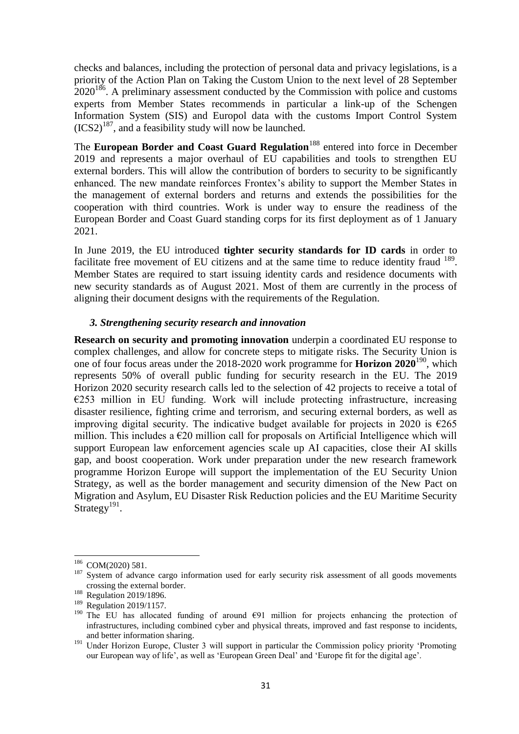checks and balances, including the protection of personal data and privacy legislations, is a priority of the Action Plan on Taking the Custom Union to the next level of 28 September  $2020^{186}$ . A preliminary assessment conducted by the Commission with police and customs experts from Member States recommends in particular a link-up of the Schengen Information System (SIS) and Europol data with the customs Import Control System  $(ICS2)^{187}$ , and a feasibility study will now be launched.

The **European Border and Coast Guard Regulation**<sup>188</sup> entered into force in December 2019 and represents a major overhaul of EU capabilities and tools to strengthen EU external borders. This will allow the contribution of borders to security to be significantly enhanced. The new mandate reinforces Frontex's ability to support the Member States in the management of external borders and returns and extends the possibilities for the cooperation with third countries. Work is under way to ensure the readiness of the European Border and Coast Guard standing corps for its first deployment as of 1 January 2021.

In June 2019, the EU introduced **tighter security standards for ID cards** in order to facilitate free movement of EU citizens and at the same time to reduce identity fraud <sup>189</sup>. Member States are required to start issuing identity cards and residence documents with new security standards as of August 2021. Most of them are currently in the process of aligning their document designs with the requirements of the Regulation.

# *3. Strengthening security research and innovation*

**Research on security and promoting innovation** underpin a coordinated EU response to complex challenges, and allow for concrete steps to mitigate risks. The Security Union is one of four focus areas under the 2018-2020 work programme for **Horizon 2020**<sup>190</sup>, which represents 50% of overall public funding for security research in the EU. The 2019 Horizon 2020 security research calls led to the selection of 42 projects to receive a total of  $E$ 253 million in EU funding. Work will include protecting infrastructure, increasing disaster resilience, fighting crime and terrorism, and securing external borders, as well as improving digital security. The indicative budget available for projects in 2020 is  $\epsilon$ 265 million. This includes a  $E20$  million call for proposals on Artificial Intelligence which will support European law enforcement agencies scale up AI capacities, close their AI skills gap, and boost cooperation. Work under preparation under the new research framework programme Horizon Europe will support the implementation of the EU Security Union Strategy, as well as the border management and security dimension of the New Pact on Migration and Asylum, EU Disaster Risk Reduction policies and the EU Maritime Security Strategy<sup>191</sup>.

**<sup>.</sup>** <sup>186</sup> COM(2020) 581.

<sup>&</sup>lt;sup>187</sup> System of advance cargo information used for early security risk assessment of all goods movements crossing the external border.

<sup>&</sup>lt;sup>188</sup> Regulation 2019/1896.

<sup>&</sup>lt;sup>189</sup> Regulation 2019/1157.

<sup>&</sup>lt;sup>190</sup> The EU has allocated funding of around  $\epsilon$ 91 million for projects enhancing the protection of infrastructures, including combined cyber and physical threats, improved and fast response to incidents, and better information sharing.

<sup>&</sup>lt;sup>191</sup> Under Horizon Europe, Cluster 3 will support in particular the Commission policy priority 'Promoting our European way of life', as well as 'European Green Deal' and 'Europe fit for the digital age'.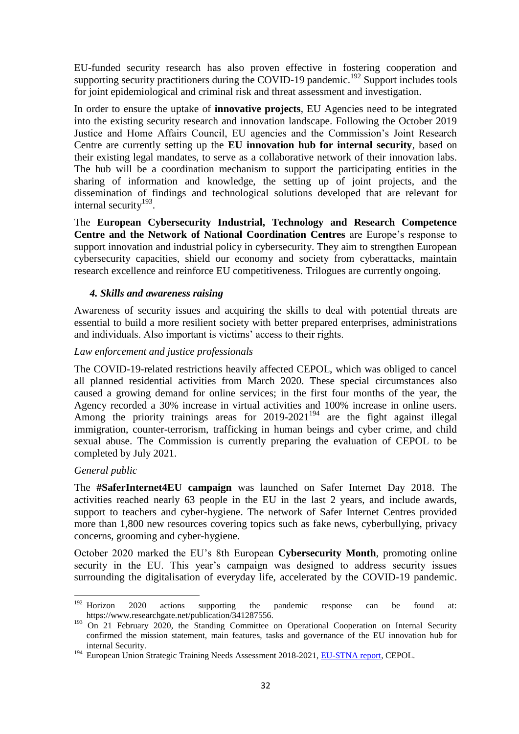EU-funded security research has also proven effective in fostering cooperation and supporting security practitioners during the COVID-19 pandemic.<sup>192</sup> Support includes tools for joint epidemiological and criminal risk and threat assessment and investigation.

In order to ensure the uptake of **innovative projects**, EU Agencies need to be integrated into the existing security research and innovation landscape. Following the October 2019 Justice and Home Affairs Council, EU agencies and the Commission's Joint Research Centre are currently setting up the **EU innovation hub for internal security**, based on their existing legal mandates, to serve as a collaborative network of their innovation labs. The hub will be a coordination mechanism to support the participating entities in the sharing of information and knowledge, the setting up of joint projects, and the dissemination of findings and technological solutions developed that are relevant for internal security $193$ .

The **European Cybersecurity Industrial, Technology and Research Competence Centre and the Network of National Coordination Centres** are Europe's response to support innovation and industrial policy in cybersecurity. They aim to strengthen European cybersecurity capacities, shield our economy and society from cyberattacks, maintain research excellence and reinforce EU competitiveness. Trilogues are currently ongoing.

# *4. Skills and awareness raising*

Awareness of security issues and acquiring the skills to deal with potential threats are essential to build a more resilient society with better prepared enterprises, administrations and individuals. Also important is victims' access to their rights.

# *Law enforcement and justice professionals*

The COVID-19-related restrictions heavily affected CEPOL, which was obliged to cancel all planned residential activities from March 2020. These special circumstances also caused a growing demand for online services; in the first four months of the year, the Agency recorded a 30% increase in virtual activities and 100% increase in online users. Among the priority trainings areas for  $2019-2021^{194}$  are the fight against illegal immigration, counter-terrorism, trafficking in human beings and cyber crime, and child sexual abuse. The Commission is currently preparing the evaluation of CEPOL to be completed by July 2021.

# *General public*

**.** 

The **#SaferInternet4EU campaign** was launched on Safer Internet Day 2018. The activities reached nearly 63 people in the EU in the last 2 years, and include awards, support to teachers and cyber-hygiene. The network of Safer Internet Centres provided more than 1,800 new resources covering topics such as fake news, cyberbullying, privacy concerns, grooming and cyber-hygiene.

October 2020 marked the EU's 8th European **Cybersecurity Month**, promoting online security in the EU. This year's campaign was designed to address security issues surrounding the digitalisation of everyday life, accelerated by the COVID-19 pandemic.

 $192$  Horizon 2020 actions supporting the pandemic response can be found at: https://www.researchgate.net/publication/341287556.

<sup>&</sup>lt;sup>193</sup> On 21 February 2020, the Standing Committee on Operational Cooperation on Internal Security confirmed the mission statement, main features, tasks and governance of the EU innovation hub for internal Security.

<sup>&</sup>lt;sup>194</sup> European Union Strategic Training Needs Assessment 2018-2021, [EU-STNA report,](https://www.cepol.europa.eu/sites/default/files/CEPOL_EU_STNA_REPORT.pdf) CEPOL.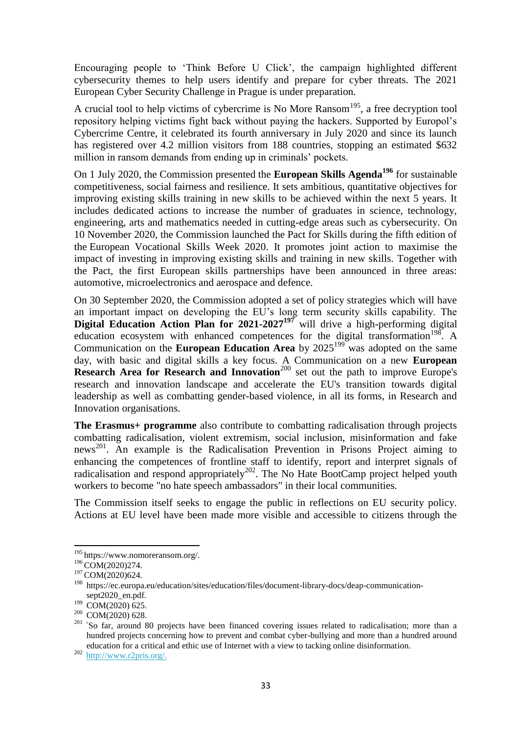Encouraging people to 'Think Before U Click', the campaign highlighted different cybersecurity themes to help users identify and prepare for cyber threats. The 2021 European Cyber Security Challenge in Prague is under preparation.

A crucial tool to help victims of cybercrime is No More  $Ransom<sup>195</sup>$ , a free decryption tool repository helping victims fight back without paying the hackers. Supported by Europol's Cybercrime Centre, it celebrated its fourth anniversary in July 2020 and since its launch has registered over 4.2 million visitors from 188 countries, stopping an estimated \$632 million in ransom demands from ending up in criminals' pockets.

On 1 July 2020, the Commission presented the **European Skills Agenda<sup>196</sup>** for sustainable competitiveness, social fairness and resilience. It sets ambitious, quantitative objectives for improving existing skills training in new skills to be achieved within the next 5 years. It includes dedicated actions to increase the number of graduates in science, technology, engineering, arts and mathematics needed in cutting-edge areas such as cybersecurity. On 10 November 2020, the Commission launched the Pact for Skills during the fifth edition of the [European Vocational Skills Week 2020.](https://ec.europa.eu/social/vocational-skills-week/european-vocational-skills-week-2017_en) It promotes joint action to maximise the impact of investing in improving existing skills and training in new skills. Together with the Pact, the first European skills partnerships have been announced in three areas: automotive, microelectronics and aerospace and defence.

On 30 September 2020, the Commission adopted a set of policy strategies which will have an important impact on developing the EU's long term security skills capability. The **Digital Education Action Plan for 2021-2027<sup>197</sup>** will drive a high-performing digital education ecosystem with enhanced competences for the digital transformation<sup>198</sup>. A Communication on the **European Education Area** by 2025<sup>199</sup> was adopted on the same day, with basic and digital skills a key focus. A Communication on a new **European Research Area for Research and Innovation**<sup>200</sup> set out the path to improve Europe's research and innovation landscape and accelerate the EU's transition towards digital leadership as well as combatting gender-based violence, in all its forms, in Research and Innovation organisations.

**The Erasmus+ programme** also contribute to combatting radicalisation through projects combatting radicalisation, violent extremism, social inclusion, misinformation and fake news <sup>201</sup>. An example is the Radicalisation Prevention in Prisons Project aiming to enhancing the competences of frontline staff to identify, report and interpret signals of radicalisation and respond appropriately<sup>202</sup>. The No Hate BootCamp project helped youth workers to become "no hate speech ambassadors" in their local communities.

The Commission itself seeks to engage the public in reflections on EU security policy. Actions at EU level have been made more visible and accessible to citizens through the

<sup>&</sup>lt;sup>195</sup> https://www.nomoreransom.org/.

<sup>&</sup>lt;sup>196</sup> COM(2020)274.

<sup>&</sup>lt;sup>197</sup> COM(2020)624.

<sup>198</sup> https://ec.europa.eu/education/sites/education/files/document-library-docs/deap-communicationsept2020\_en.pdf.

 $199$  COM(2020) 625.

<sup>&</sup>lt;sup>200</sup> COM(2020) 628.

 $201$  So far, around 80 projects have been financed covering issues related to radicalisation; more than a hundred projects concerning how to prevent and combat cyber-bullying and more than a hundred around education for a critical and ethic use of Internet with a view to tacking online disinformation.

<sup>202</sup> [http://www.r2pris.org/.](http://www.r2pris.org/)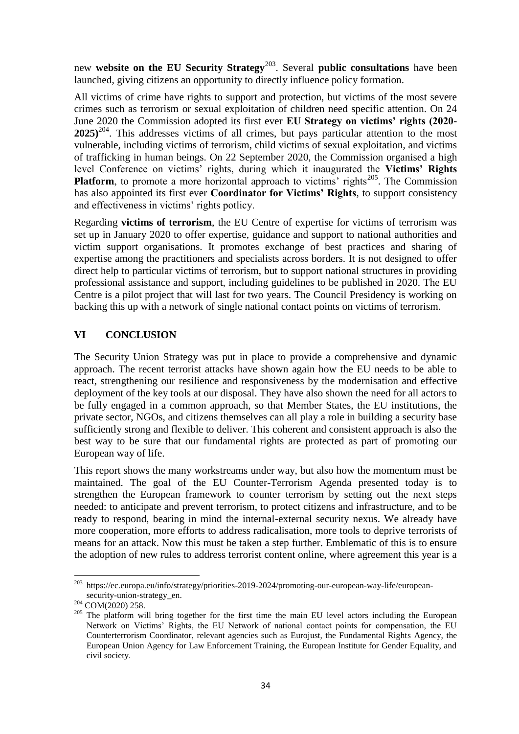new **website on the EU Security Strategy**<sup>203</sup>. Several **public consultations** have been launched, giving citizens an opportunity to directly influence policy formation.

All victims of crime have rights to support and protection, but victims of the most severe crimes such as terrorism or sexual exploitation of children need specific attention. On 24 June 2020 the Commission adopted its first ever **EU Strategy on victims' rights (2020- 2025)**<sup>204</sup>. This addresses victims of all crimes, but pays particular attention to the most vulnerable, including victims of terrorism, child victims of sexual exploitation, and victims of trafficking in human beings. On 22 September 2020, the Commission organised a high level Conference on victims' rights, during which it inaugurated the **Victims' Rights Platform**, to promote a more horizontal approach to victims' rights<sup>205</sup>. The Commission has also appointed its first ever **Coordinator for Victims' Rights**, to support consistency and effectiveness in victims' rights potlicy.

Regarding **victims of terrorism**, the EU Centre of expertise for victims of terrorism was set up in January 2020 to offer expertise, guidance and support to national authorities and victim support organisations. It promotes exchange of best practices and sharing of expertise among the practitioners and specialists across borders. It is not designed to offer direct help to particular victims of terrorism, but to support national structures in providing professional assistance and support, including guidelines to be published in 2020. The EU Centre is a pilot project that will last for two years. The Council Presidency is working on backing this up with a network of single national contact points on victims of terrorism.

# **VI CONCLUSION**

The Security Union Strategy was put in place to provide a comprehensive and dynamic approach. The recent terrorist attacks have shown again how the EU needs to be able to react, strengthening our resilience and responsiveness by the modernisation and effective deployment of the key tools at our disposal. They have also shown the need for all actors to be fully engaged in a common approach, so that Member States, the EU institutions, the private sector, NGOs, and citizens themselves can all play a role in building a security base sufficiently strong and flexible to deliver. This coherent and consistent approach is also the best way to be sure that our fundamental rights are protected as part of promoting our European way of life.

This report shows the many workstreams under way, but also how the momentum must be maintained. The goal of the EU Counter-Terrorism Agenda presented today is to strengthen the European framework to counter terrorism by setting out the next steps needed: to anticipate and prevent terrorism, to protect citizens and infrastructure, and to be ready to respond, bearing in mind the internal-external security nexus. We already have more cooperation, more efforts to address radicalisation, more tools to deprive terrorists of means for an attack. Now this must be taken a step further. Emblematic of this is to ensure the adoption of new rules to address terrorist content online, where agreement this year is a

<sup>&</sup>lt;sup>203</sup> https://ec.europa.eu/info/strategy/priorities-2019-2024/promoting-our-european-way-life/europeansecurity-union-strategy\_en.

<sup>204</sup> COM(2020) 258.

<sup>&</sup>lt;sup>205</sup> The platform will bring together for the first time the main EU level actors including the European Network on Victims' Rights, the EU Network of national contact points for compensation, the EU Counterterrorism Coordinator, relevant agencies such as Eurojust, the Fundamental Rights Agency, the European Union Agency for Law Enforcement Training, the European Institute for Gender Equality, and civil society.